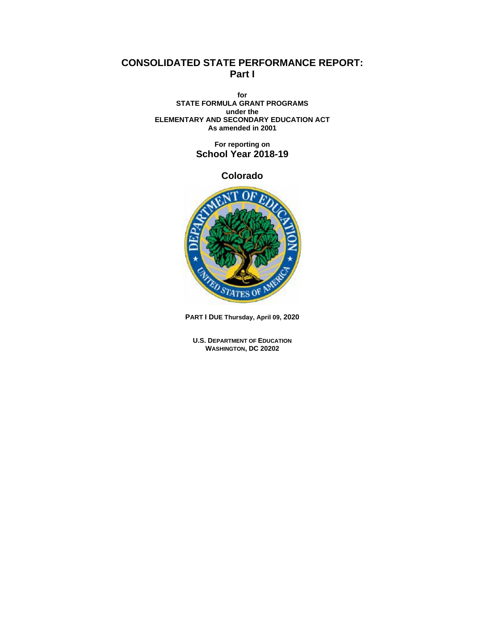# **CONSOLIDATED STATE PERFORMANCE REPORT: Part I**

**for STATE FORMULA GRANT PROGRAMS under the ELEMENTARY AND SECONDARY EDUCATION ACT As amended in 2001**

> **For reporting on School Year 2018-19**

> > **Colorado**



**PART I DUE Thursday, April 09, 2020**

**U.S. DEPARTMENT OF EDUCATION WASHINGTON, DC 20202**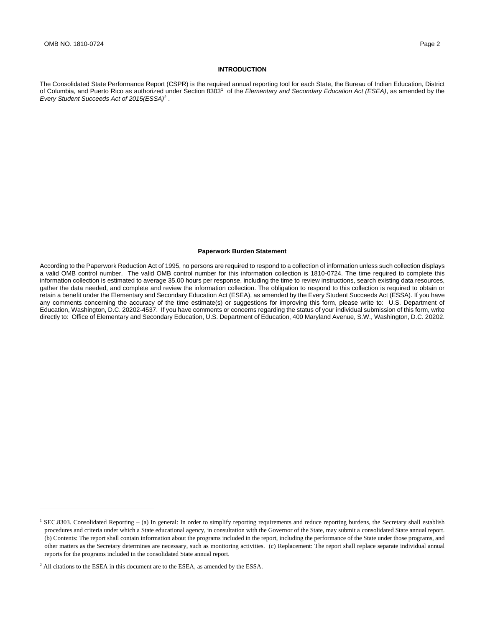### **INTRODUCTION**

The Consolidated State Performance Report (CSPR) is the required annual reporting tool for each State, the Bureau of Indian Education, District of Columbia, and Puerto Rico as authorized under Section 8303<sup>1</sup> of the *Elementary and Secondary Education Act (ESEA)*, as amended by the *Every Student Succeeds Act of 2015(ESSA)*<sup>2</sup> .

#### **Paperwork Burden Statement**

According to the Paperwork Reduction Act of 1995, no persons are required to respond to a collection of information unless such collection displays a valid OMB control number. The valid OMB control number for this information collection is 1810-0724. The time required to complete this information collection is estimated to average 35.00 hours per response, including the time to review instructions, search existing data resources, gather the data needed, and complete and review the information collection. The obligation to respond to this collection is required to obtain or retain a benefit under the Elementary and Secondary Education Act (ESEA), as amended by the Every Student Succeeds Act (ESSA). If you have any comments concerning the accuracy of the time estimate(s) or suggestions for improving this form, please write to: U.S. Department of Education, Washington, D.C. 20202-4537. If you have comments or concerns regarding the status of your individual submission of this form, write directly to: Office of Elementary and Secondary Education, U.S. Department of Education, 400 Maryland Avenue, S.W., Washington, D.C. 20202.

<sup>&</sup>lt;sup>1</sup> SEC.8303. Consolidated Reporting – (a) In general: In order to simplify reporting requirements and reduce reporting burdens, the Secretary shall establish procedures and criteria under which a State educational agency, in consultation with the Governor of the State, may submit a consolidated State annual report. (b) Contents: The report shall contain information about the programs included in the report, including the performance of the State under those programs, and other matters as the Secretary determines are necessary, such as monitoring activities. (c) Replacement: The report shall replace separate individual annual reports for the programs included in the consolidated State annual report.

<sup>&</sup>lt;sup>2</sup> All citations to the ESEA in this document are to the ESEA, as amended by the ESSA.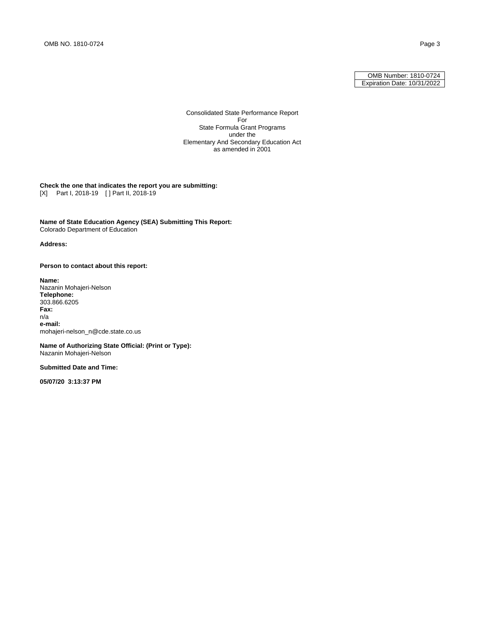OMB Number: 1810-0724 Expiration Date: 10/31/2022

Consolidated State Performance Report For State Formula Grant Programs under the Elementary And Secondary Education Act as amended in 2001

#### **Check the one that indicates the report you are submitting:** [X] Part I, 2018-19 [ ] Part II, 2018-19

**Name of State Education Agency (SEA) Submitting This Report:** Colorado Department of Education

### **Address:**

**Person to contact about this report:**

**Name:**  Nazanin Mohajeri-Nelson **Telephone:**  303.866.6205 **Fax:**  n/a **e-mail:**  mohajeri-nelson\_n@cde.state.co.us

**Name of Authorizing State Official: (Print or Type):** Nazanin Mohajeri-Nelson

**Submitted Date and Time:**

**05/07/20 3:13:37 PM**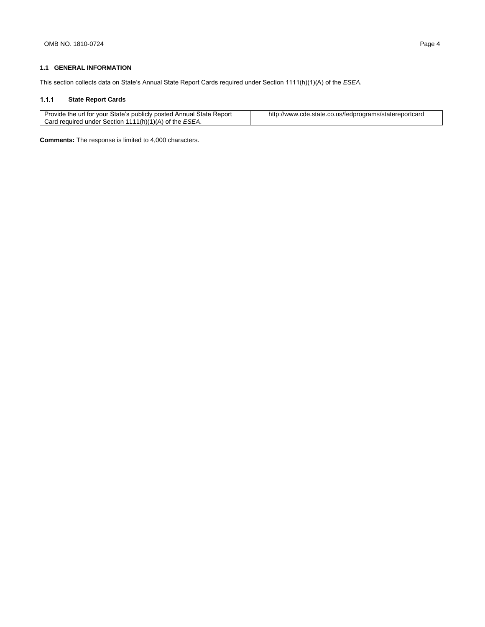## **1.1 GENERAL INFORMATION**

This section collects data on State's Annual State Report Cards required under Section 1111(h)(1)(A) of the *ESEA*.

#### **State Report Cards**   $1.1.1$

| Provide the url for your State's publicly posted Annual State Report | http://www.cde.state.co.us/fedprograms/statereportcard |
|----------------------------------------------------------------------|--------------------------------------------------------|
| Card required under Section 1111(h)(1)(A) of the ESEA.               |                                                        |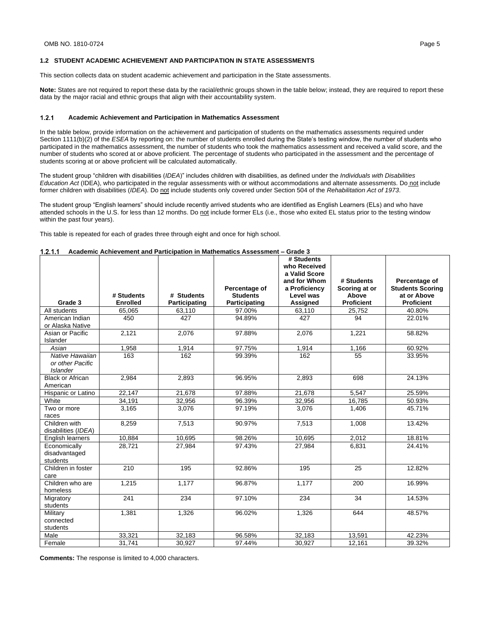#### **1.2 STUDENT ACADEMIC ACHIEVEMENT AND PARTICIPATION IN STATE ASSESSMENTS**

This section collects data on student academic achievement and participation in the State assessments.

**Note:** States are not required to report these data by the racial/ethnic groups shown in the table below; instead, they are required to report these data by the major racial and ethnic groups that align with their accountability system.

#### $1.2.1$ **Academic Achievement and Participation in Mathematics Assessment**

In the table below, provide information on the achievement and participation of students on the mathematics assessments required under Section 1111(b)(2) of the *ESEA* by reporting on: the number of students enrolled during the State's testing window, the number of students who participated in the mathematics assessment, the number of students who took the mathematics assessment and received a valid score, and the number of students who scored at or above proficient. The percentage of students who participated in the assessment and the percentage of students scoring at or above proficient will be calculated automatically.

The student group "children with disabilities (*IDEA*)" includes children with disabilities, as defined under the *Individuals with Disabilities Education Act* (IDEA), who participated in the regular assessments with or without accommodations and alternate assessments. Do not include former children with disabilities (*IDEA*). Do not include students only covered under Section 504 of the *Rehabilitation Act of 1973*.

The student group "English learners" should include recently arrived students who are identified as English Learners (ELs) and who have attended schools in the U.S. for less than 12 months. Do not include former ELs (i.e., those who exited EL status prior to the testing window within the past four years).

This table is repeated for each of grades three through eight and once for high school.

|                                                        | # Students      | # Students    | Percentage of<br><b>Students</b> | # Students<br>who Received<br>a Valid Score<br>and for Whom<br>a Proficiency<br>Level was | # Students<br>Scoring at or<br>Above | Percentage of<br><b>Students Scoring</b><br>at or Above |
|--------------------------------------------------------|-----------------|---------------|----------------------------------|-------------------------------------------------------------------------------------------|--------------------------------------|---------------------------------------------------------|
| Grade 3                                                | <b>Enrolled</b> | Participating | Participating                    | Assigned                                                                                  | <b>Proficient</b>                    | <b>Proficient</b>                                       |
| All students                                           | 65,065          | 63,110        | 97.00%                           | 63,110                                                                                    | 25.752                               | 40.80%                                                  |
| American Indian<br>or Alaska Native                    | 450             | 427           | 94.89%                           | 427                                                                                       | 94                                   | 22.01%                                                  |
| Asian or Pacific<br>Islander                           | 2,121           | 2,076         | 97.88%                           | 2,076                                                                                     | 1,221                                | 58.82%                                                  |
| Asian                                                  | 1,958           | 1,914         | 97.75%                           | 1,914                                                                                     | 1,166                                | 60.92%                                                  |
| Native Hawaiian<br>or other Pacific<br><b>Islander</b> | 163             | 162           | 99.39%                           | 162                                                                                       | 55                                   | 33.95%                                                  |
| <b>Black or African</b><br>American                    | 2,984           | 2,893         | 96.95%                           | 2,893                                                                                     | 698                                  | 24.13%                                                  |
| Hispanic or Latino                                     | 22.147          | 21,678        | 97.88%                           | 21,678                                                                                    | 5.547                                | 25.59%                                                  |
| White                                                  | 34.191          | 32.956        | 96.39%                           | 32.956                                                                                    | 16.785                               | 50.93%                                                  |
| Two or more<br>races                                   | 3,165           | 3,076         | 97.19%                           | 3,076                                                                                     | 1,406                                | 45.71%                                                  |
| Children with<br>disabilities (IDEA)                   | 8,259           | 7,513         | 90.97%                           | 7,513                                                                                     | 1,008                                | 13.42%                                                  |
| English learners                                       | 10,884          | 10.695        | 98.26%                           | 10.695                                                                                    | 2,012                                | 18.81%                                                  |
| Economically<br>disadvantaged<br>students              | 28,721          | 27,984        | 97.43%                           | 27,984                                                                                    | 6,831                                | 24.41%                                                  |
| Children in foster<br>care                             | 210             | 195           | 92.86%                           | 195                                                                                       | 25                                   | 12.82%                                                  |
| Children who are<br>homeless                           | 1.215           | 1.177         | 96.87%                           | 1.177                                                                                     | 200                                  | 16.99%                                                  |
| Migratory<br>students                                  | 241             | 234           | 97.10%                           | 234                                                                                       | 34                                   | 14.53%                                                  |
| Military<br>connected<br>students                      | 1.381           | 1,326         | 96.02%                           | 1,326                                                                                     | 644                                  | 48.57%                                                  |
| Male                                                   | 33,321          | 32,183        | 96.58%                           | 32,183                                                                                    | 13,591                               | 42.23%                                                  |
| Female                                                 | 31.741          | 30.927        | 97.44%                           | 30.927                                                                                    | 12.161                               | 39.32%                                                  |

| 1.2.1.1 |  | Academic Achievement and Participation in Mathematics Assessment – Grade 3 |                               |
|---------|--|----------------------------------------------------------------------------|-------------------------------|
|         |  |                                                                            | $H$ Counter to $\overline{H}$ |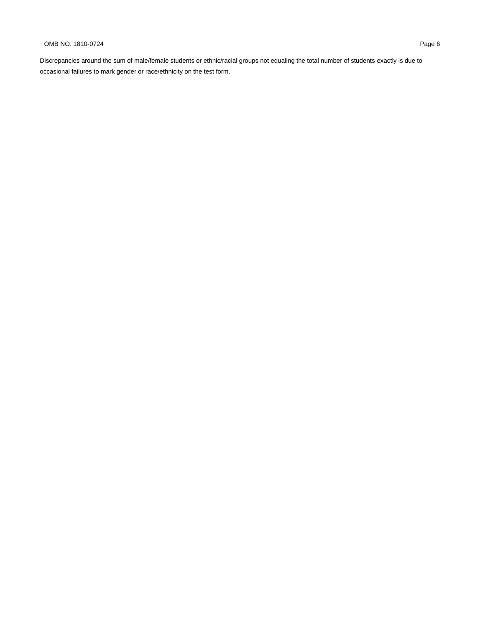## OMB NO. 1810-0724 Page 6

Discrepancies around the sum of male/female students or ethnic/racial groups not equaling the total number of students exactly is due to occasional failures to mark gender or race/ethnicity on the test form.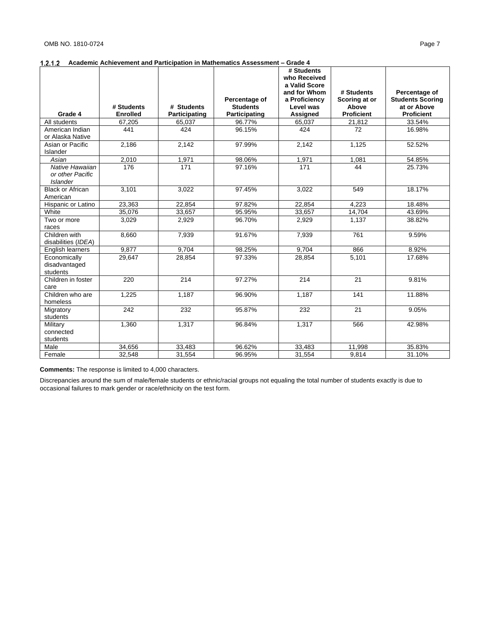| a Valid Score<br>and for Whom<br>Percentage of<br># Students<br>Percentage of<br>a Proficiency<br>Scoring at or<br><b>Students Scoring</b><br># Students<br># Students<br><b>Students</b><br>Above<br>at or Above<br>Level was<br><b>Proficient</b><br><b>Enrolled</b><br>Participating<br><b>Proficient</b><br>Grade 4<br>Participating<br><b>Assigned</b><br>33.54%<br>All students<br>67,205<br>96.77%<br>65,037<br>21,812<br>65,037<br>441<br>424<br>424<br>72<br>American Indian<br>96.15%<br>16.98%<br>or Alaska Native |  |  | # Students<br>who Received |  |
|-------------------------------------------------------------------------------------------------------------------------------------------------------------------------------------------------------------------------------------------------------------------------------------------------------------------------------------------------------------------------------------------------------------------------------------------------------------------------------------------------------------------------------|--|--|----------------------------|--|
|                                                                                                                                                                                                                                                                                                                                                                                                                                                                                                                               |  |  |                            |  |
|                                                                                                                                                                                                                                                                                                                                                                                                                                                                                                                               |  |  |                            |  |
|                                                                                                                                                                                                                                                                                                                                                                                                                                                                                                                               |  |  |                            |  |
|                                                                                                                                                                                                                                                                                                                                                                                                                                                                                                                               |  |  |                            |  |
|                                                                                                                                                                                                                                                                                                                                                                                                                                                                                                                               |  |  |                            |  |
|                                                                                                                                                                                                                                                                                                                                                                                                                                                                                                                               |  |  |                            |  |
|                                                                                                                                                                                                                                                                                                                                                                                                                                                                                                                               |  |  |                            |  |
|                                                                                                                                                                                                                                                                                                                                                                                                                                                                                                                               |  |  |                            |  |
| Asian or Pacific<br>2,186<br>2,142<br>97.99%<br>2,142<br>1,125<br>52.52%                                                                                                                                                                                                                                                                                                                                                                                                                                                      |  |  |                            |  |
| Islander                                                                                                                                                                                                                                                                                                                                                                                                                                                                                                                      |  |  |                            |  |
| 2,010<br>1,971<br>98.06%<br>1,971<br>1,081<br>54.85%<br>Asian                                                                                                                                                                                                                                                                                                                                                                                                                                                                 |  |  |                            |  |
| Native Hawaiian<br>176<br>171<br>97.16%<br>171<br>44<br>25.73%                                                                                                                                                                                                                                                                                                                                                                                                                                                                |  |  |                            |  |
| or other Pacific<br><b>Islander</b>                                                                                                                                                                                                                                                                                                                                                                                                                                                                                           |  |  |                            |  |
| <b>Black or African</b><br>3.101<br>3,022<br>97.45%<br>3,022<br>18.17%<br>549                                                                                                                                                                                                                                                                                                                                                                                                                                                 |  |  |                            |  |
| American                                                                                                                                                                                                                                                                                                                                                                                                                                                                                                                      |  |  |                            |  |
| 23.363<br>22.854<br>97.82%<br>22.854<br>4.223<br>18.48%<br>Hispanic or Latino                                                                                                                                                                                                                                                                                                                                                                                                                                                 |  |  |                            |  |
| White<br>35,076<br>33,657<br>95.95%<br>33,657<br>14,704<br>43.69%                                                                                                                                                                                                                                                                                                                                                                                                                                                             |  |  |                            |  |
| 1,137<br>Two or more<br>3,029<br>2,929<br>96.70%<br>2,929<br>38.82%                                                                                                                                                                                                                                                                                                                                                                                                                                                           |  |  |                            |  |
| races                                                                                                                                                                                                                                                                                                                                                                                                                                                                                                                         |  |  |                            |  |
| Children with<br>7.939<br>91.67%<br>761<br>9.59%<br>8.660<br>7.939                                                                                                                                                                                                                                                                                                                                                                                                                                                            |  |  |                            |  |
| disabilities (IDEA)                                                                                                                                                                                                                                                                                                                                                                                                                                                                                                           |  |  |                            |  |
| 9.877<br>9.704<br>9.704<br>866<br>8.92%<br>98.25%<br>English learners                                                                                                                                                                                                                                                                                                                                                                                                                                                         |  |  |                            |  |
| 17.68%<br>28,854<br>97.33%<br>28,854<br>5,101<br>Economically<br>29,647                                                                                                                                                                                                                                                                                                                                                                                                                                                       |  |  |                            |  |
| disadvantaged                                                                                                                                                                                                                                                                                                                                                                                                                                                                                                                 |  |  |                            |  |
| students                                                                                                                                                                                                                                                                                                                                                                                                                                                                                                                      |  |  |                            |  |
| Children in foster<br>220<br>214<br>97.27%<br>214<br>21<br>9.81%                                                                                                                                                                                                                                                                                                                                                                                                                                                              |  |  |                            |  |
| care                                                                                                                                                                                                                                                                                                                                                                                                                                                                                                                          |  |  |                            |  |
| Children who are<br>1,187<br>1,187<br>1,225<br>96.90%<br>141<br>11.88%                                                                                                                                                                                                                                                                                                                                                                                                                                                        |  |  |                            |  |
| homeless                                                                                                                                                                                                                                                                                                                                                                                                                                                                                                                      |  |  |                            |  |
| $\overline{21}$<br>242<br>232<br>95.87%<br>232<br>9.05%<br>Migratory                                                                                                                                                                                                                                                                                                                                                                                                                                                          |  |  |                            |  |
| students<br>1,317<br>Military<br>1,360<br>1,317<br>566<br>96.84%<br>42.98%                                                                                                                                                                                                                                                                                                                                                                                                                                                    |  |  |                            |  |
| connected                                                                                                                                                                                                                                                                                                                                                                                                                                                                                                                     |  |  |                            |  |
| students                                                                                                                                                                                                                                                                                                                                                                                                                                                                                                                      |  |  |                            |  |
| 35.83%<br>Male<br>34,656<br>33,483<br>96.62%<br>33,483<br>11,998                                                                                                                                                                                                                                                                                                                                                                                                                                                              |  |  |                            |  |
| 31,554<br>32,548<br>31,554<br>9,814<br>31.10%<br>96.95%<br>Female                                                                                                                                                                                                                                                                                                                                                                                                                                                             |  |  |                            |  |

**Comments:** The response is limited to 4,000 characters.

Discrepancies around the sum of male/female students or ethnic/racial groups not equaling the total number of students exactly is due to occasional failures to mark gender or race/ethnicity on the test form.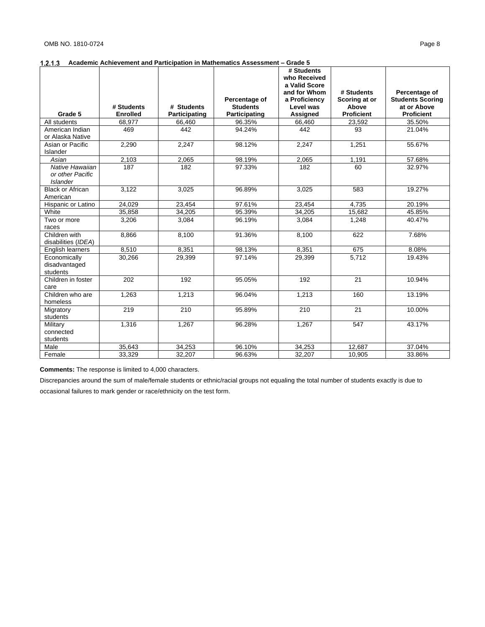|                                |                 |               |                 | # Students                    |                   |                         |
|--------------------------------|-----------------|---------------|-----------------|-------------------------------|-------------------|-------------------------|
|                                |                 |               |                 | who Received<br>a Valid Score |                   |                         |
|                                |                 |               |                 | and for Whom                  | # Students        | Percentage of           |
|                                |                 |               | Percentage of   | a Proficiency                 | Scoring at or     | <b>Students Scoring</b> |
|                                | # Students      | # Students    | <b>Students</b> | Level was                     | Above             | at or Above             |
| Grade 5                        | <b>Enrolled</b> | Participating | Participating   | <b>Assigned</b>               | <b>Proficient</b> | <b>Proficient</b>       |
| All students                   | 68.977          | 66,460        | 96.35%          | 66,460                        | 23,592            | 35.50%                  |
| American Indian                | 469             | 442           | 94.24%          | 442                           | 93                | 21.04%                  |
| or Alaska Native               |                 |               |                 |                               |                   |                         |
| Asian or Pacific               | 2,290           | 2,247         | 98.12%          | 2.247                         | 1.251             | 55.67%                  |
| Islander                       |                 |               |                 |                               |                   |                         |
| Asian<br>Native Hawaiian       | 2,103           | 2,065         | 98.19%          | 2,065                         | 1,191             | 57.68%                  |
| or other Pacific               | 187             | 182           | 97.33%          | 182                           | 60                | 32.97%                  |
| <b>Islander</b>                |                 |               |                 |                               |                   |                         |
| <b>Black or African</b>        | 3.122           | 3.025         | 96.89%          | 3,025                         | 583               | 19.27%                  |
| American                       |                 |               |                 |                               |                   |                         |
| Hispanic or Latino             | 24.029          | 23,454        | 97.61%          | 23,454                        | 4.735             | 20.19%                  |
| White                          | 35,858          | 34,205        | 95.39%          | 34,205                        | 15,682            | 45.85%                  |
| Two or more                    | 3,206           | 3,084         | 96.19%          | 3,084                         | 1,248             | 40.47%                  |
| races                          |                 |               |                 |                               |                   |                         |
| Children with                  | 8.866           | 8.100         | 91.36%          | 8.100                         | 622               | 7.68%                   |
| disabilities (IDEA)            |                 |               |                 |                               |                   |                         |
| English learners               | 8.510           | 8.351         | 98.13%          | 8.351                         | 675               | 8.08%                   |
| Economically                   | 30,266          | 29,399        | 97.14%          | 29,399                        | 5,712             | 19.43%                  |
| disadvantaged                  |                 |               |                 |                               |                   |                         |
| students<br>Children in foster | 202             | 192           | 95.05%          | 192                           | 21                | 10.94%                  |
| care                           |                 |               |                 |                               |                   |                         |
| Children who are               | 1,263           | 1,213         | 96.04%          | 1,213                         | 160               | 13.19%                  |
| homeless                       |                 |               |                 |                               |                   |                         |
| Migratory                      | 219             | 210           | 95.89%          | 210                           | 21                | 10.00%                  |
| students                       |                 |               |                 |                               |                   |                         |
| Military                       | 1,316           | 1,267         | 96.28%          | 1,267                         | 547               | 43.17%                  |
| connected                      |                 |               |                 |                               |                   |                         |
| students                       |                 |               |                 |                               |                   |                         |
| Male                           | 35,643          | 34,253        | 96.10%          | 34,253                        | 12,687            | 37.04%                  |
| Female                         | 33,329          | 32,207        | 96.63%          | 32,207                        | 10,905            | 33.86%                  |

**Comments:** The response is limited to 4,000 characters.

Discrepancies around the sum of male/female students or ethnic/racial groups not equaling the total number of students exactly is due to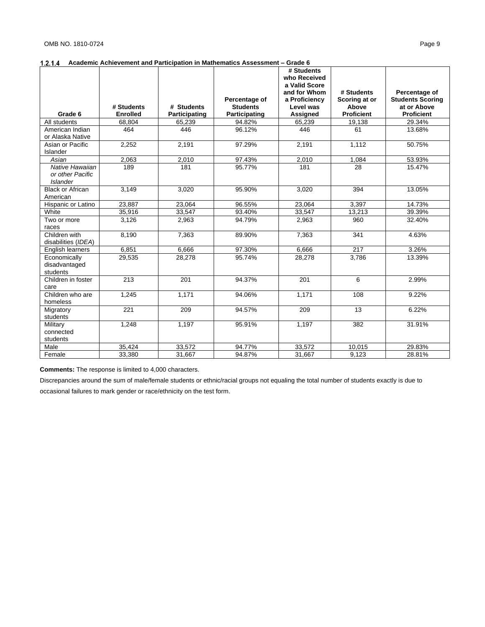|                                |                 |               |                 | # Students                    |                   |                         |
|--------------------------------|-----------------|---------------|-----------------|-------------------------------|-------------------|-------------------------|
|                                |                 |               |                 | who Received<br>a Valid Score |                   |                         |
|                                |                 |               |                 | and for Whom                  | # Students        | Percentage of           |
|                                |                 |               | Percentage of   | a Proficiency                 | Scoring at or     | <b>Students Scoring</b> |
|                                | # Students      | # Students    | <b>Students</b> | Level was                     | Above             | at or Above             |
| Grade 6                        | <b>Enrolled</b> | Participating | Participating   | <b>Assigned</b>               | <b>Proficient</b> | <b>Proficient</b>       |
| All students                   | 68,804          | 65,239        | 94.82%          | 65,239                        | 19,138            | 29.34%                  |
| American Indian                | 464             | 446           | 96.12%          | 446                           | 61                | 13.68%                  |
| or Alaska Native               |                 |               |                 |                               |                   |                         |
| Asian or Pacific               | 2,252           | 2,191         | 97.29%          | 2,191                         | 1,112             | 50.75%                  |
| Islander                       |                 |               |                 |                               |                   |                         |
| Asian                          | 2,063           | 2,010         | 97.43%          | 2,010                         | 1,084             | 53.93%                  |
| Native Hawaiian                | 189             | 181           | 95.77%          | 181                           | 28                | 15.47%                  |
| or other Pacific               |                 |               |                 |                               |                   |                         |
| <b>Islander</b>                |                 |               |                 |                               |                   |                         |
| <b>Black or African</b>        | 3.149           | 3,020         | 95.90%          | 3,020                         | 394               | 13.05%                  |
| American                       |                 |               |                 |                               |                   |                         |
| Hispanic or Latino             | 23.887          | 23.064        | 96.55%          | 23.064                        | 3.397             | 14.73%                  |
| White                          | 35,916          | 33,547        | 93.40%          | 33,547                        | 13,213            | 39.39%                  |
| Two or more                    | 3.126           | 2,963         | 94.79%          | 2,963                         | 960               | 32.40%                  |
| races                          |                 |               |                 |                               |                   |                         |
| Children with                  | 8.190           | 7.363         | 89.90%          | 7.363                         | 341               | 4.63%                   |
| disabilities (IDEA)            |                 |               |                 |                               |                   |                         |
| English learners               | 6.851           | 6.666         | 97.30%          | 6.666                         | 217               | 3.26%                   |
| Economically                   | 29,535          | 28,278        | 95.74%          | 28,278                        | 3,786             | 13.39%                  |
| disadvantaged                  |                 |               |                 |                               |                   |                         |
| students<br>Children in foster | 213             | 201           | 94.37%          | 201                           | 6                 | 2.99%                   |
| care                           |                 |               |                 |                               |                   |                         |
| Children who are               | 1,245           | 1,171         | 94.06%          | 1,171                         | 108               | 9.22%                   |
| homeless                       |                 |               |                 |                               |                   |                         |
| Migratory                      | 221             | 209           | 94.57%          | 209                           | 13                | 6.22%                   |
| students                       |                 |               |                 |                               |                   |                         |
| Military                       | 1,248           | 1,197         | 95.91%          | 1,197                         | 382               | 31.91%                  |
| connected                      |                 |               |                 |                               |                   |                         |
| students                       |                 |               |                 |                               |                   |                         |
| Male                           | 35,424          | 33,572        | 94.77%          | 33,572                        | 10,015            | 29.83%                  |
| Female                         | 33,380          | 31,667        | 94.87%          | 31,667                        | 9,123             | 28.81%                  |

**Comments:** The response is limited to 4,000 characters.

Discrepancies around the sum of male/female students or ethnic/racial groups not equaling the total number of students exactly is due to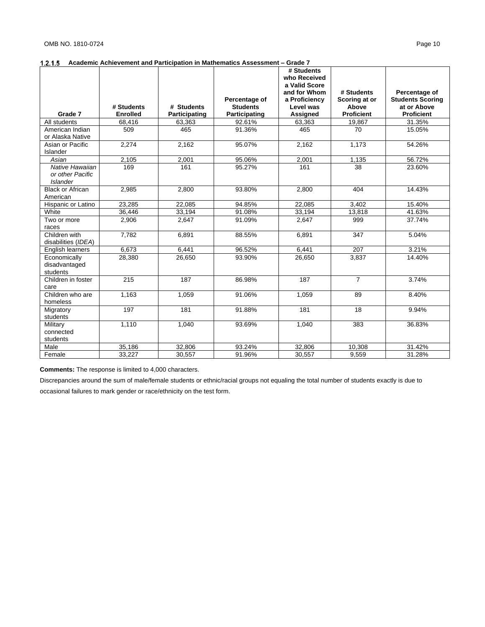|                          |                 |               |                 | # Students<br>who Received |                   |                         |
|--------------------------|-----------------|---------------|-----------------|----------------------------|-------------------|-------------------------|
|                          |                 |               |                 | a Valid Score              |                   |                         |
|                          |                 |               |                 | and for Whom               | # Students        | Percentage of           |
|                          |                 |               | Percentage of   | a Proficiency              | Scoring at or     | <b>Students Scoring</b> |
|                          | # Students      | # Students    | <b>Students</b> | Level was                  | Above             | at or Above             |
| Grade 7                  | <b>Enrolled</b> | Participating | Participating   | Assigned                   | <b>Proficient</b> | <b>Proficient</b>       |
| All students             | 68,416          | 63,363        | 92.61%          | 63,363                     | 19,867            | 31.35%                  |
| American Indian          | 509             | 465           | 91.36%          | 465                        | 70                | 15.05%                  |
| or Alaska Native         |                 |               |                 |                            |                   |                         |
| Asian or Pacific         | 2,274           | 2,162         | 95.07%          | 2,162                      | 1,173             | 54.26%                  |
| Islander                 |                 |               |                 |                            |                   |                         |
| Asian<br>Native Hawaiian | 2,105<br>169    | 2,001         | 95.06%          | 2,001<br>161               | 1,135             | 56.72%                  |
| or other Pacific         |                 | 161           | 95.27%          |                            | 38                | 23.60%                  |
| <b>Islander</b>          |                 |               |                 |                            |                   |                         |
| <b>Black or African</b>  | 2.985           | 2.800         | 93.80%          | 2.800                      | 404               | 14.43%                  |
| American                 |                 |               |                 |                            |                   |                         |
| Hispanic or Latino       | 23,285          | 22,085        | 94.85%          | 22,085                     | 3,402             | 15.40%                  |
| White                    | 36,446          | 33,194        | 91.08%          | 33,194                     | 13,818            | 41.63%                  |
| Two or more              | 2,906           | 2,647         | 91.09%          | 2,647                      | 999               | 37.74%                  |
| races                    |                 |               |                 |                            |                   |                         |
| Children with            | 7.782           | 6.891         | 88.55%          | 6.891                      | 347               | 5.04%                   |
| disabilities (IDEA)      |                 |               |                 |                            |                   |                         |
| English learners         | 6.673           | 6,441         | 96.52%          | 6.441                      | 207               | 3.21%                   |
| Economically             | 28,380          | 26,650        | 93.90%          | 26,650                     | 3,837             | 14.40%                  |
| disadvantaged            |                 |               |                 |                            |                   |                         |
| students                 |                 |               |                 |                            |                   |                         |
| Children in foster       | 215             | 187           | 86.98%          | 187                        | $\overline{7}$    | 3.74%                   |
| care                     |                 |               |                 |                            |                   |                         |
| Children who are         | 1,163           | 1,059         | 91.06%          | 1,059                      | 89                | 8.40%                   |
| homeless                 |                 |               |                 |                            |                   |                         |
| Migratory                | 197             | 181           | 91.88%          | 181                        | 18                | 9.94%                   |
| students                 |                 |               |                 |                            |                   |                         |
| Military                 | 1,110           | 1,040         | 93.69%          | 1,040                      | 383               | 36.83%                  |
| connected                |                 |               |                 |                            |                   |                         |
| students                 | 35,186          | 32,806        |                 | 32,806                     |                   |                         |
| Male<br>Female           | 33,227          |               | 93.24%          |                            | 10,308<br>9,559   | 31.42%<br>31.28%        |
|                          |                 | 30,557        | 91.96%          | 30,557                     |                   |                         |

**Comments:** The response is limited to 4,000 characters.

Discrepancies around the sum of male/female students or ethnic/racial groups not equaling the total number of students exactly is due to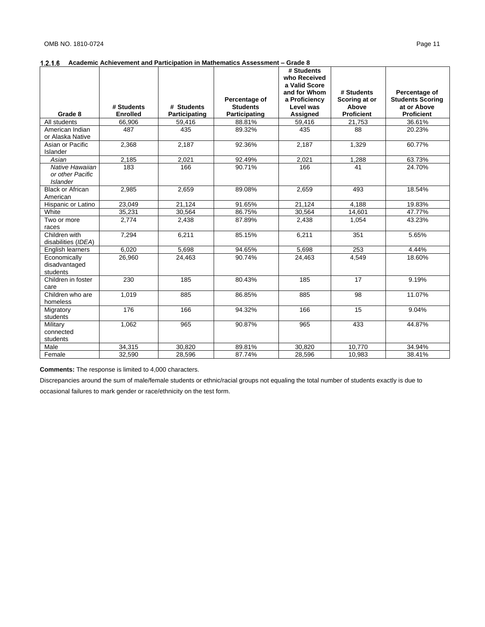|                                                        |                               |                             |                                                   | # Students<br>who Received                                              |                                                           |                                                                              |
|--------------------------------------------------------|-------------------------------|-----------------------------|---------------------------------------------------|-------------------------------------------------------------------------|-----------------------------------------------------------|------------------------------------------------------------------------------|
| Grade 8                                                | # Students<br><b>Enrolled</b> | # Students<br>Participating | Percentage of<br><b>Students</b><br>Participating | a Valid Score<br>and for Whom<br>a Proficiency<br>Level was<br>Assigned | # Students<br>Scoring at or<br>Above<br><b>Proficient</b> | Percentage of<br><b>Students Scoring</b><br>at or Above<br><b>Proficient</b> |
| All students                                           | 66,906                        | 59,416                      | 88.81%                                            | 59,416                                                                  | 21,753                                                    | 36.61%                                                                       |
| American Indian<br>or Alaska Native                    | 487                           | 435                         | 89.32%                                            | 435                                                                     | 88                                                        | 20.23%                                                                       |
| Asian or Pacific<br>Islander                           | 2,368                         | 2,187                       | 92.36%                                            | 2,187                                                                   | 1,329                                                     | 60.77%                                                                       |
| Asian                                                  | 2,185                         | 2,021                       | 92.49%                                            | 2,021                                                                   | 1,288                                                     | 63.73%                                                                       |
| Native Hawaiian<br>or other Pacific<br><b>Islander</b> | 183                           | 166                         | 90.71%                                            | 166                                                                     | 41                                                        | 24.70%                                                                       |
| <b>Black or African</b><br>American                    | 2,985                         | 2,659                       | 89.08%                                            | 2,659                                                                   | 493                                                       | 18.54%                                                                       |
| Hispanic or Latino                                     | 23,049                        | 21,124                      | 91.65%                                            | 21,124                                                                  | 4,188                                                     | 19.83%                                                                       |
| White                                                  | 35,231                        | 30,564                      | 86.75%                                            | 30,564                                                                  | 14,601                                                    | 47.77%                                                                       |
| Two or more<br>races                                   | 2.774                         | 2,438                       | 87.89%                                            | 2,438                                                                   | 1.054                                                     | 43.23%                                                                       |
| Children with<br>disabilities (IDEA)                   | 7,294                         | 6,211                       | 85.15%                                            | 6,211                                                                   | 351                                                       | 5.65%                                                                        |
| English learners                                       | 6,020                         | 5,698                       | 94.65%                                            | 5,698                                                                   | 253                                                       | 4.44%                                                                        |
| Economically<br>disadvantaged<br>students              | 26,960                        | 24,463                      | 90.74%                                            | 24,463                                                                  | 4.549                                                     | 18.60%                                                                       |
| Children in foster<br>care                             | 230                           | 185                         | 80.43%                                            | 185                                                                     | 17                                                        | 9.19%                                                                        |
| Children who are<br>homeless                           | 1,019                         | 885                         | 86.85%                                            | 885                                                                     | 98                                                        | 11.07%                                                                       |
| Migratory<br>students                                  | 176                           | 166                         | 94.32%                                            | 166                                                                     | $\overline{15}$                                           | 9.04%                                                                        |
| Military<br>connected<br>students                      | 1,062                         | 965                         | 90.87%                                            | 965                                                                     | 433                                                       | 44.87%                                                                       |
| Male                                                   | 34,315                        | 30,820                      | 89.81%                                            | 30,820                                                                  | 10,770                                                    | 34.94%                                                                       |
| Female                                                 | 32,590                        | 28,596                      | 87.74%                                            | 28,596                                                                  | 10,983                                                    | 38.41%                                                                       |

**Comments:** The response is limited to 4,000 characters.

Discrepancies around the sum of male/female students or ethnic/racial groups not equaling the total number of students exactly is due to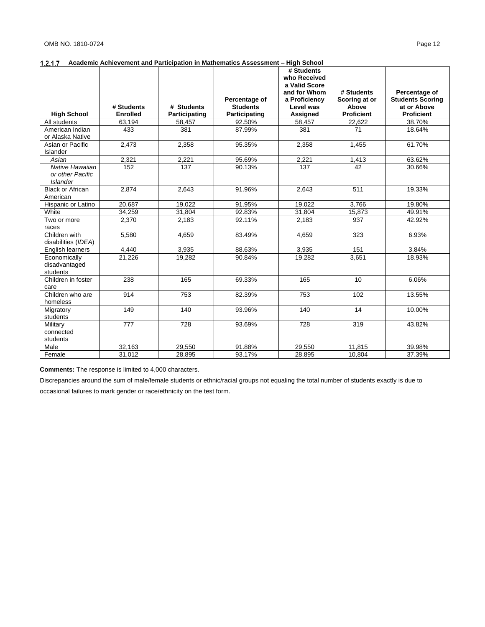## **Academic Achievement and Participation in Mathematics Assessment – High School**

|                                                        |                 |               |                 | # Students<br>who Received    |                   |                                          |
|--------------------------------------------------------|-----------------|---------------|-----------------|-------------------------------|-------------------|------------------------------------------|
|                                                        |                 |               |                 | a Valid Score<br>and for Whom | # Students        |                                          |
|                                                        |                 |               | Percentage of   | a Proficiency                 | Scoring at or     | Percentage of<br><b>Students Scoring</b> |
|                                                        | # Students      | # Students    | <b>Students</b> | Level was                     | Above             | at or Above                              |
| <b>High School</b>                                     | <b>Enrolled</b> | Participating | Participating   | <b>Assigned</b>               | <b>Proficient</b> | <b>Proficient</b>                        |
| All students                                           | 63,194          | 58,457        | 92.50%          | 58,457                        | 22,622            | 38.70%                                   |
| American Indian<br>or Alaska Native                    | 433             | 381           | 87.99%          | 381                           | 71                | 18.64%                                   |
| Asian or Pacific<br>Islander                           | 2,473           | 2,358         | 95.35%          | 2,358                         | 1,455             | 61.70%                                   |
| Asian                                                  | 2,321           | 2,221         | 95.69%          | 2,221                         | 1,413             | 63.62%                                   |
| Native Hawaiian<br>or other Pacific<br><b>Islander</b> | 152             | 137           | 90.13%          | 137                           | 42                | 30.66%                                   |
| <b>Black or African</b><br>American                    | 2.874           | 2,643         | 91.96%          | 2,643                         | 511               | 19.33%                                   |
| Hispanic or Latino                                     | 20,687          | 19,022        | 91.95%          | 19,022                        | 3,766             | 19.80%                                   |
| White                                                  | 34,259          | 31,804        | 92.83%          | 31,804                        | 15,873            | 49.91%                                   |
| Two or more<br>races                                   | 2,370           | 2,183         | 92.11%          | 2,183                         | 937               | 42.92%                                   |
| Children with<br>disabilities (IDEA)                   | 5,580           | 4,659         | 83.49%          | 4,659                         | 323               | 6.93%                                    |
| English learners                                       | 4,440           | 3,935         | 88.63%          | 3,935                         | 151               | 3.84%                                    |
| Economically<br>disadvantaged<br>students              | 21,226          | 19,282        | 90.84%          | 19,282                        | 3,651             | 18.93%                                   |
| Children in foster<br>care                             | 238             | 165           | 69.33%          | 165                           | 10 <sup>10</sup>  | 6.06%                                    |
| Children who are<br>homeless                           | 914             | 753           | 82.39%          | 753                           | 102               | 13.55%                                   |
| Migratory<br>students                                  | 149             | 140           | 93.96%          | 140                           | 14                | 10.00%                                   |
| Military<br>connected<br>students                      | 777             | 728           | 93.69%          | 728                           | 319               | 43.82%                                   |
| Male                                                   | 32,163          | 29,550        | 91.88%          | 29,550                        | 11,815            | 39.98%                                   |
| Female                                                 | 31,012          | 28,895        | 93.17%          | 28,895                        | 10,804            | 37.39%                                   |

**Comments:** The response is limited to 4,000 characters.

Discrepancies around the sum of male/female students or ethnic/racial groups not equaling the total number of students exactly is due to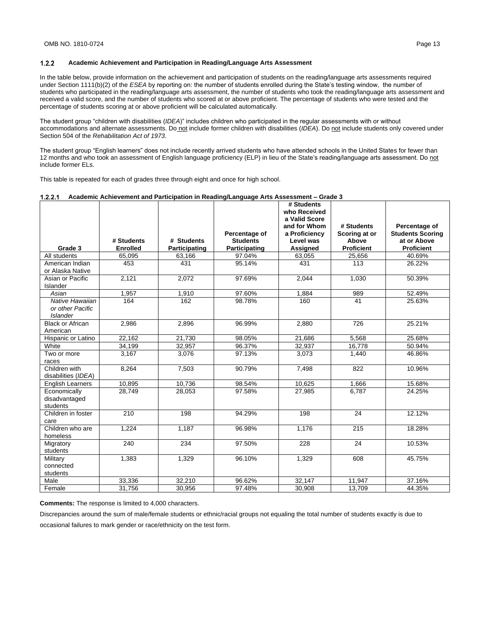In the table below, provide information on the achievement and participation of students on the reading/language arts assessments required under Section 1111(b)(2) of the *ESEA* by reporting on: the number of students enrolled during the State's testing window, the number of students who participated in the reading/language arts assessment, the number of students who took the reading/language arts assessment and received a valid score, and the number of students who scored at or above proficient. The percentage of students who were tested and the percentage of students scoring at or above proficient will be calculated automatically.

The student group "children with disabilities (*IDEA*)" includes children who participated in the regular assessments with or without accommodations and alternate assessments. Do not include former children with disabilities (IDEA). Do not include students only covered under Section 504 of the *Rehabilitation Act of 1973*.

The student group "English learners" does not include recently arrived students who have attended schools in the United States for fewer than 12 months and who took an assessment of English language proficiency (ELP) in lieu of the State's reading/language arts assessment. Do not include former ELs.

This table is repeated for each of grades three through eight and once for high school.

#### **Academic Achievement and Participation in Reading/Language Arts Assessment – Grade 3**

| Grade 3                                                | # Students<br><b>Enrolled</b> | # Students    | Percentage of<br><b>Students</b> | # Students<br>who Received<br>a Valid Score<br>and for Whom<br>a Proficiency<br>Level was | # Students<br>Scoring at or<br>Above<br><b>Proficient</b> | Percentage of<br><b>Students Scoring</b><br>at or Above<br><b>Proficient</b> |
|--------------------------------------------------------|-------------------------------|---------------|----------------------------------|-------------------------------------------------------------------------------------------|-----------------------------------------------------------|------------------------------------------------------------------------------|
|                                                        |                               | Participating | Participating                    | Assigned                                                                                  |                                                           |                                                                              |
| All students<br>American Indian<br>or Alaska Native    | 65.095<br>453                 | 63,166<br>431 | 97.04%<br>95.14%                 | 63.055<br>431                                                                             | 25,656<br>113                                             | 40.69%<br>26.22%                                                             |
| Asian or Pacific<br><b>Islander</b>                    | 2,121                         | 2,072         | 97.69%                           | 2,044                                                                                     | 1.030                                                     | 50.39%                                                                       |
| Asian                                                  | 1,957                         | 1,910         | 97.60%                           | 1,884                                                                                     | 989                                                       | 52.49%                                                                       |
| Native Hawaiian<br>or other Pacific<br><b>Islander</b> | 164                           | 162           | 98.78%                           | 160                                                                                       | 41                                                        | 25.63%                                                                       |
| <b>Black or African</b><br>American                    | 2,986                         | 2,896         | 96.99%                           | 2,880                                                                                     | 726                                                       | 25.21%                                                                       |
| Hispanic or Latino                                     | 22,162                        | 21,730        | 98.05%                           | 21,686                                                                                    | 5,568                                                     | 25.68%                                                                       |
| White                                                  | 34,199                        | 32,957        | 96.37%                           | 32,937                                                                                    | 16,778                                                    | 50.94%                                                                       |
| Two or more<br>races                                   | 3.167                         | 3,076         | 97.13%                           | 3,073                                                                                     | 1.440                                                     | 46.86%                                                                       |
| Children with<br>disabilities (IDEA)                   | 8,264                         | 7,503         | 90.79%                           | 7.498                                                                                     | 822                                                       | 10.96%                                                                       |
| <b>English Learners</b>                                | 10,895                        | 10,736        | 98.54%                           | 10,625                                                                                    | 1.666                                                     | 15.68%                                                                       |
| Economically<br>disadvantaged<br>students              | 28.749                        | 28,053        | 97.58%                           | 27,985                                                                                    | 6.787                                                     | 24.25%                                                                       |
| Children in foster<br>care                             | 210                           | 198           | 94.29%                           | 198                                                                                       | 24                                                        | 12.12%                                                                       |
| Children who are<br>homeless                           | 1.224                         | 1.187         | 96.98%                           | 1.176                                                                                     | 215                                                       | 18.28%                                                                       |
| Migratory<br>students                                  | 240                           | 234           | 97.50%                           | 228                                                                                       | 24                                                        | 10.53%                                                                       |
| Military<br>connected<br>students                      | 1,383                         | 1,329         | 96.10%                           | 1,329                                                                                     | 608                                                       | 45.75%                                                                       |
| Male                                                   | 33,336                        | 32.210        | 96.62%                           | 32.147                                                                                    | 11,947                                                    | 37.16%                                                                       |
| Female                                                 | 31.756                        | 30.956        | 97.48%                           | 30.908                                                                                    | 13.709                                                    | 44.35%                                                                       |

**Comments:** The response is limited to 4,000 characters.

Discrepancies around the sum of male/female students or ethnic/racial groups not equaling the total number of students exactly is due to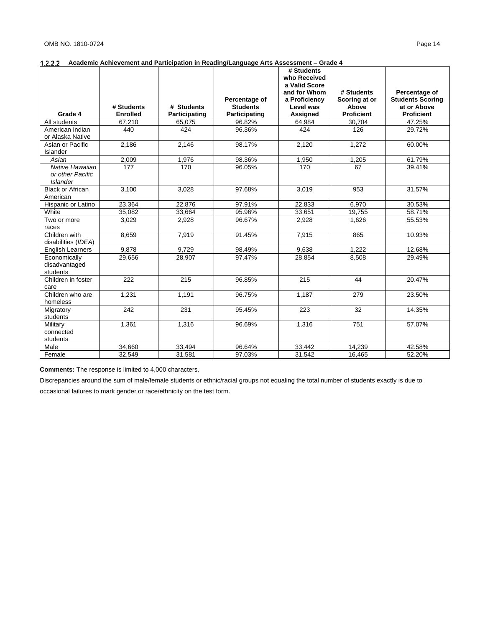|                                |                 |                         |                                  | # Students         |                        |                                        |
|--------------------------------|-----------------|-------------------------|----------------------------------|--------------------|------------------------|----------------------------------------|
|                                |                 |                         |                                  | who Received       |                        |                                        |
|                                |                 |                         |                                  | a Valid Score      |                        |                                        |
|                                |                 |                         |                                  | and for Whom       | # Students             | Percentage of                          |
|                                | # Students      | # Students              | Percentage of<br><b>Students</b> | a Proficiency      | Scoring at or<br>Above | <b>Students Scoring</b><br>at or Above |
| Grade 4                        | <b>Enrolled</b> |                         |                                  | Level was          | <b>Proficient</b>      | <b>Proficient</b>                      |
| All students                   | 67,210          | Participating<br>65,075 | Participating<br>96.82%          | Assigned<br>64.984 | 30,704                 | 47.25%                                 |
| American Indian                | 440             | 424                     | 96.36%                           | 424                | 126                    | 29.72%                                 |
| or Alaska Native               |                 |                         |                                  |                    |                        |                                        |
| Asian or Pacific               | 2,186           | 2,146                   | 98.17%                           | 2,120              | 1,272                  | 60.00%                                 |
| Islander                       |                 |                         |                                  |                    |                        |                                        |
| Asian                          | 2,009           | 1,976                   | 98.36%                           | 1,950              | 1,205                  | 61.79%                                 |
| Native Hawaiian                | 177             | 170                     | 96.05%                           | 170                | 67                     | 39.41%                                 |
| or other Pacific               |                 |                         |                                  |                    |                        |                                        |
| <b>Islander</b>                |                 |                         |                                  |                    |                        |                                        |
| <b>Black or African</b>        | 3.100           | 3.028                   | 97.68%                           | 3,019              | 953                    | 31.57%                                 |
| American                       |                 |                         |                                  |                    |                        |                                        |
| Hispanic or Latino             | 23.364          | 22.876                  | 97.91%                           | 22.833             | 6.970                  | 30.53%                                 |
| White                          | 35,082          | 33,664                  | 95.96%                           | 33,651             | 19,755                 | 58.71%                                 |
| Two or more                    | 3,029           | 2,928                   | 96.67%                           | 2,928              | 1,626                  | 55.53%                                 |
| races                          |                 |                         |                                  |                    |                        |                                        |
| Children with                  | 8.659           | 7.919                   | 91.45%                           | 7.915              | 865                    | 10.93%                                 |
| disabilities (IDEA)            |                 |                         |                                  |                    |                        |                                        |
| <b>English Learners</b>        | 9.878           | 9.729                   | 98.49%                           | 9.638              | 1.222                  | 12.68%                                 |
| Economically                   | 29,656          | 28,907                  | 97.47%                           | 28,854             | 8,508                  | 29.49%                                 |
| disadvantaged                  |                 |                         |                                  |                    |                        |                                        |
| students<br>Children in foster |                 |                         |                                  |                    | 44                     |                                        |
| care                           | 222             | 215                     | 96.85%                           | 215                |                        | 20.47%                                 |
| Children who are               | 1,231           | 1,191                   | 96.75%                           | 1,187              | 279                    | 23.50%                                 |
| homeless                       |                 |                         |                                  |                    |                        |                                        |
| Migratory                      | 242             | 231                     | 95.45%                           | 223                | 32                     | 14.35%                                 |
| students                       |                 |                         |                                  |                    |                        |                                        |
| Military                       | 1,361           | 1,316                   | 96.69%                           | 1,316              | 751                    | 57.07%                                 |
| connected                      |                 |                         |                                  |                    |                        |                                        |
| students                       |                 |                         |                                  |                    |                        |                                        |
| Male                           | 34,660          | 33,494                  | 96.64%                           | 33,442             | 14,239                 | 42.58%                                 |
| Female                         | 32,549          | 31,581                  | 97.03%                           | 31,542             | 16,465                 | 52.20%                                 |

**Comments:** The response is limited to 4,000 characters.

Discrepancies around the sum of male/female students or ethnic/racial groups not equaling the total number of students exactly is due to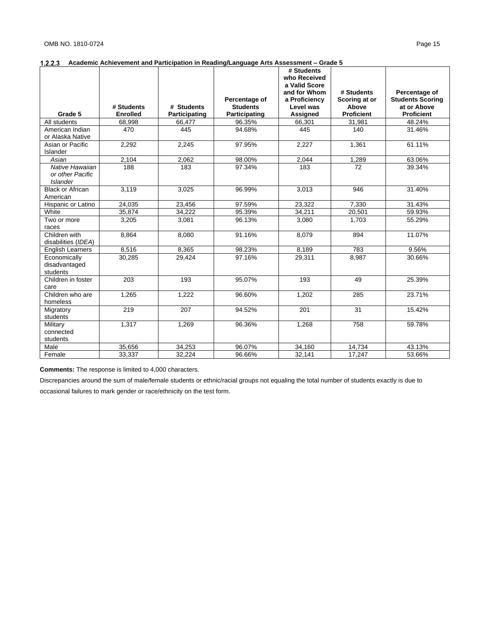| a Valid Score<br>and for Whom<br># Students<br>Percentage of<br>Percentage of<br>a Proficiency<br>Scoring at or<br><b>Students Scoring</b><br>at or Above<br># Students<br># Students<br><b>Students</b><br>Level was<br>Above<br><b>Proficient</b><br>Grade 5<br><b>Enrolled</b><br>Participating<br>Assigned<br><b>Proficient</b><br>Participating<br>48.24%<br>All students<br>68.998<br>66,477<br>96.35%<br>66.301<br>31,981<br>470<br>445<br>140<br>American Indian<br>445<br>94.68%<br>31.46%<br>or Alaska Native<br>1,361<br>2,292<br>2,245<br>97.95%<br>2,227<br>61.11%<br>Asian or Pacific<br>Islander<br>2,104<br>98.00%<br>63.06%<br>2,062<br>2,044<br>1,289<br>Asian<br>Native Hawaiian<br>188<br>183<br>97.34%<br>183<br>72<br>39.34%<br>or other Pacific<br><b>Islander</b><br>3,119<br>3,025<br><b>Black or African</b><br>96.99%<br>3,013<br>946<br>31.40%<br>American<br>24,035<br>97.59%<br>23,322<br>7.330<br>23,456<br>31.43%<br>Hispanic or Latino<br>34,222<br>White<br>35.874<br>95.39%<br>34,211<br>20,501<br>59.93%<br>1,703<br>3,081<br>96.13%<br>3,080<br>55.29%<br>Two or more<br>3,205<br>races<br>Children with<br>11.07%<br>8.864<br>8,080<br>91.16%<br>894<br>8.079<br>disabilities (IDEA)<br>783<br>8,516<br>8,365<br>98.23%<br>8,189<br>9.56%<br><b>English Learners</b><br>97.16%<br>Economically<br>30,285<br>29,424<br>29,311<br>8,987<br>30.66%<br>disadvantaged<br>students<br>Children in foster<br>203<br>193<br>95.07%<br>193<br>49<br>25.39%<br>care<br>Children who are<br>1,265<br>1,222<br>23.71%<br>96.60%<br>1,202<br>285<br>homeless<br>$\overline{31}$<br>219<br>207<br>94.52%<br>201<br>15.42%<br>Migratory<br>students<br>1.317<br>1,269<br>96.36%<br>1,268<br>758<br>59.78%<br>Military<br>connected<br>students<br>34,160<br>Male<br>35,656<br>34,253<br>96.07%<br>14,734<br>43.13% |        |        |        |        | # Students   |        |        |
|-------------------------------------------------------------------------------------------------------------------------------------------------------------------------------------------------------------------------------------------------------------------------------------------------------------------------------------------------------------------------------------------------------------------------------------------------------------------------------------------------------------------------------------------------------------------------------------------------------------------------------------------------------------------------------------------------------------------------------------------------------------------------------------------------------------------------------------------------------------------------------------------------------------------------------------------------------------------------------------------------------------------------------------------------------------------------------------------------------------------------------------------------------------------------------------------------------------------------------------------------------------------------------------------------------------------------------------------------------------------------------------------------------------------------------------------------------------------------------------------------------------------------------------------------------------------------------------------------------------------------------------------------------------------------------------------------------------------------------------------------------------------------------------------------------------------------------------------|--------|--------|--------|--------|--------------|--------|--------|
|                                                                                                                                                                                                                                                                                                                                                                                                                                                                                                                                                                                                                                                                                                                                                                                                                                                                                                                                                                                                                                                                                                                                                                                                                                                                                                                                                                                                                                                                                                                                                                                                                                                                                                                                                                                                                                           |        |        |        |        | who Received |        |        |
|                                                                                                                                                                                                                                                                                                                                                                                                                                                                                                                                                                                                                                                                                                                                                                                                                                                                                                                                                                                                                                                                                                                                                                                                                                                                                                                                                                                                                                                                                                                                                                                                                                                                                                                                                                                                                                           |        |        |        |        |              |        |        |
|                                                                                                                                                                                                                                                                                                                                                                                                                                                                                                                                                                                                                                                                                                                                                                                                                                                                                                                                                                                                                                                                                                                                                                                                                                                                                                                                                                                                                                                                                                                                                                                                                                                                                                                                                                                                                                           |        |        |        |        |              |        |        |
|                                                                                                                                                                                                                                                                                                                                                                                                                                                                                                                                                                                                                                                                                                                                                                                                                                                                                                                                                                                                                                                                                                                                                                                                                                                                                                                                                                                                                                                                                                                                                                                                                                                                                                                                                                                                                                           |        |        |        |        |              |        |        |
|                                                                                                                                                                                                                                                                                                                                                                                                                                                                                                                                                                                                                                                                                                                                                                                                                                                                                                                                                                                                                                                                                                                                                                                                                                                                                                                                                                                                                                                                                                                                                                                                                                                                                                                                                                                                                                           |        |        |        |        |              |        |        |
|                                                                                                                                                                                                                                                                                                                                                                                                                                                                                                                                                                                                                                                                                                                                                                                                                                                                                                                                                                                                                                                                                                                                                                                                                                                                                                                                                                                                                                                                                                                                                                                                                                                                                                                                                                                                                                           |        |        |        |        |              |        |        |
|                                                                                                                                                                                                                                                                                                                                                                                                                                                                                                                                                                                                                                                                                                                                                                                                                                                                                                                                                                                                                                                                                                                                                                                                                                                                                                                                                                                                                                                                                                                                                                                                                                                                                                                                                                                                                                           |        |        |        |        |              |        |        |
|                                                                                                                                                                                                                                                                                                                                                                                                                                                                                                                                                                                                                                                                                                                                                                                                                                                                                                                                                                                                                                                                                                                                                                                                                                                                                                                                                                                                                                                                                                                                                                                                                                                                                                                                                                                                                                           |        |        |        |        |              |        |        |
|                                                                                                                                                                                                                                                                                                                                                                                                                                                                                                                                                                                                                                                                                                                                                                                                                                                                                                                                                                                                                                                                                                                                                                                                                                                                                                                                                                                                                                                                                                                                                                                                                                                                                                                                                                                                                                           |        |        |        |        |              |        |        |
|                                                                                                                                                                                                                                                                                                                                                                                                                                                                                                                                                                                                                                                                                                                                                                                                                                                                                                                                                                                                                                                                                                                                                                                                                                                                                                                                                                                                                                                                                                                                                                                                                                                                                                                                                                                                                                           |        |        |        |        |              |        |        |
|                                                                                                                                                                                                                                                                                                                                                                                                                                                                                                                                                                                                                                                                                                                                                                                                                                                                                                                                                                                                                                                                                                                                                                                                                                                                                                                                                                                                                                                                                                                                                                                                                                                                                                                                                                                                                                           |        |        |        |        |              |        |        |
|                                                                                                                                                                                                                                                                                                                                                                                                                                                                                                                                                                                                                                                                                                                                                                                                                                                                                                                                                                                                                                                                                                                                                                                                                                                                                                                                                                                                                                                                                                                                                                                                                                                                                                                                                                                                                                           |        |        |        |        |              |        |        |
|                                                                                                                                                                                                                                                                                                                                                                                                                                                                                                                                                                                                                                                                                                                                                                                                                                                                                                                                                                                                                                                                                                                                                                                                                                                                                                                                                                                                                                                                                                                                                                                                                                                                                                                                                                                                                                           |        |        |        |        |              |        |        |
|                                                                                                                                                                                                                                                                                                                                                                                                                                                                                                                                                                                                                                                                                                                                                                                                                                                                                                                                                                                                                                                                                                                                                                                                                                                                                                                                                                                                                                                                                                                                                                                                                                                                                                                                                                                                                                           |        |        |        |        |              |        |        |
|                                                                                                                                                                                                                                                                                                                                                                                                                                                                                                                                                                                                                                                                                                                                                                                                                                                                                                                                                                                                                                                                                                                                                                                                                                                                                                                                                                                                                                                                                                                                                                                                                                                                                                                                                                                                                                           |        |        |        |        |              |        |        |
|                                                                                                                                                                                                                                                                                                                                                                                                                                                                                                                                                                                                                                                                                                                                                                                                                                                                                                                                                                                                                                                                                                                                                                                                                                                                                                                                                                                                                                                                                                                                                                                                                                                                                                                                                                                                                                           |        |        |        |        |              |        |        |
|                                                                                                                                                                                                                                                                                                                                                                                                                                                                                                                                                                                                                                                                                                                                                                                                                                                                                                                                                                                                                                                                                                                                                                                                                                                                                                                                                                                                                                                                                                                                                                                                                                                                                                                                                                                                                                           |        |        |        |        |              |        |        |
|                                                                                                                                                                                                                                                                                                                                                                                                                                                                                                                                                                                                                                                                                                                                                                                                                                                                                                                                                                                                                                                                                                                                                                                                                                                                                                                                                                                                                                                                                                                                                                                                                                                                                                                                                                                                                                           |        |        |        |        |              |        |        |
|                                                                                                                                                                                                                                                                                                                                                                                                                                                                                                                                                                                                                                                                                                                                                                                                                                                                                                                                                                                                                                                                                                                                                                                                                                                                                                                                                                                                                                                                                                                                                                                                                                                                                                                                                                                                                                           |        |        |        |        |              |        |        |
|                                                                                                                                                                                                                                                                                                                                                                                                                                                                                                                                                                                                                                                                                                                                                                                                                                                                                                                                                                                                                                                                                                                                                                                                                                                                                                                                                                                                                                                                                                                                                                                                                                                                                                                                                                                                                                           |        |        |        |        |              |        |        |
|                                                                                                                                                                                                                                                                                                                                                                                                                                                                                                                                                                                                                                                                                                                                                                                                                                                                                                                                                                                                                                                                                                                                                                                                                                                                                                                                                                                                                                                                                                                                                                                                                                                                                                                                                                                                                                           |        |        |        |        |              |        |        |
|                                                                                                                                                                                                                                                                                                                                                                                                                                                                                                                                                                                                                                                                                                                                                                                                                                                                                                                                                                                                                                                                                                                                                                                                                                                                                                                                                                                                                                                                                                                                                                                                                                                                                                                                                                                                                                           |        |        |        |        |              |        |        |
|                                                                                                                                                                                                                                                                                                                                                                                                                                                                                                                                                                                                                                                                                                                                                                                                                                                                                                                                                                                                                                                                                                                                                                                                                                                                                                                                                                                                                                                                                                                                                                                                                                                                                                                                                                                                                                           |        |        |        |        |              |        |        |
|                                                                                                                                                                                                                                                                                                                                                                                                                                                                                                                                                                                                                                                                                                                                                                                                                                                                                                                                                                                                                                                                                                                                                                                                                                                                                                                                                                                                                                                                                                                                                                                                                                                                                                                                                                                                                                           |        |        |        |        |              |        |        |
|                                                                                                                                                                                                                                                                                                                                                                                                                                                                                                                                                                                                                                                                                                                                                                                                                                                                                                                                                                                                                                                                                                                                                                                                                                                                                                                                                                                                                                                                                                                                                                                                                                                                                                                                                                                                                                           |        |        |        |        |              |        |        |
|                                                                                                                                                                                                                                                                                                                                                                                                                                                                                                                                                                                                                                                                                                                                                                                                                                                                                                                                                                                                                                                                                                                                                                                                                                                                                                                                                                                                                                                                                                                                                                                                                                                                                                                                                                                                                                           |        |        |        |        |              |        |        |
|                                                                                                                                                                                                                                                                                                                                                                                                                                                                                                                                                                                                                                                                                                                                                                                                                                                                                                                                                                                                                                                                                                                                                                                                                                                                                                                                                                                                                                                                                                                                                                                                                                                                                                                                                                                                                                           |        |        |        |        |              |        |        |
|                                                                                                                                                                                                                                                                                                                                                                                                                                                                                                                                                                                                                                                                                                                                                                                                                                                                                                                                                                                                                                                                                                                                                                                                                                                                                                                                                                                                                                                                                                                                                                                                                                                                                                                                                                                                                                           |        |        |        |        |              |        |        |
|                                                                                                                                                                                                                                                                                                                                                                                                                                                                                                                                                                                                                                                                                                                                                                                                                                                                                                                                                                                                                                                                                                                                                                                                                                                                                                                                                                                                                                                                                                                                                                                                                                                                                                                                                                                                                                           |        |        |        |        |              |        |        |
|                                                                                                                                                                                                                                                                                                                                                                                                                                                                                                                                                                                                                                                                                                                                                                                                                                                                                                                                                                                                                                                                                                                                                                                                                                                                                                                                                                                                                                                                                                                                                                                                                                                                                                                                                                                                                                           |        |        |        |        |              |        |        |
|                                                                                                                                                                                                                                                                                                                                                                                                                                                                                                                                                                                                                                                                                                                                                                                                                                                                                                                                                                                                                                                                                                                                                                                                                                                                                                                                                                                                                                                                                                                                                                                                                                                                                                                                                                                                                                           |        |        |        |        |              |        |        |
|                                                                                                                                                                                                                                                                                                                                                                                                                                                                                                                                                                                                                                                                                                                                                                                                                                                                                                                                                                                                                                                                                                                                                                                                                                                                                                                                                                                                                                                                                                                                                                                                                                                                                                                                                                                                                                           |        |        |        |        |              |        |        |
|                                                                                                                                                                                                                                                                                                                                                                                                                                                                                                                                                                                                                                                                                                                                                                                                                                                                                                                                                                                                                                                                                                                                                                                                                                                                                                                                                                                                                                                                                                                                                                                                                                                                                                                                                                                                                                           |        |        |        |        |              |        |        |
|                                                                                                                                                                                                                                                                                                                                                                                                                                                                                                                                                                                                                                                                                                                                                                                                                                                                                                                                                                                                                                                                                                                                                                                                                                                                                                                                                                                                                                                                                                                                                                                                                                                                                                                                                                                                                                           |        |        |        |        |              |        |        |
|                                                                                                                                                                                                                                                                                                                                                                                                                                                                                                                                                                                                                                                                                                                                                                                                                                                                                                                                                                                                                                                                                                                                                                                                                                                                                                                                                                                                                                                                                                                                                                                                                                                                                                                                                                                                                                           | Female | 33,337 | 32,224 | 96.66% | 32,141       | 17,247 | 53.66% |

**Comments:** The response is limited to 4,000 characters.

Discrepancies around the sum of male/female students or ethnic/racial groups not equaling the total number of students exactly is due to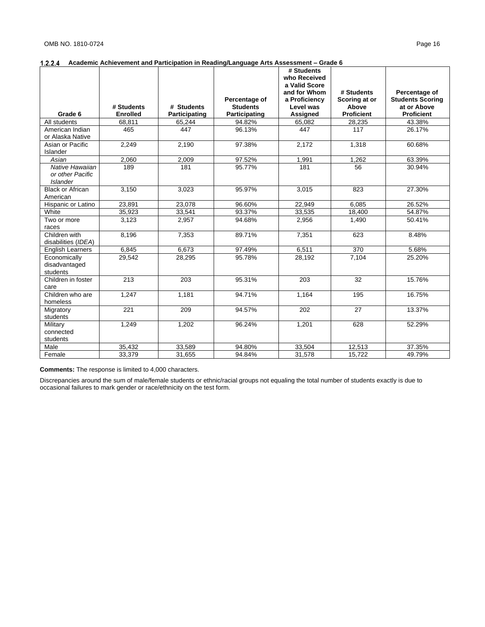|                                            |                  |               |                 | # Students<br>who Received |                   |                         |
|--------------------------------------------|------------------|---------------|-----------------|----------------------------|-------------------|-------------------------|
|                                            |                  |               |                 | a Valid Score              |                   |                         |
|                                            |                  |               |                 | and for Whom               | # Students        | Percentage of           |
|                                            |                  |               | Percentage of   | a Proficiency              | Scoring at or     | <b>Students Scoring</b> |
|                                            | # Students       | # Students    | <b>Students</b> | Level was                  | Above             | at or Above             |
| Grade 6                                    | <b>Enrolled</b>  | Participating | Participating   | Assigned                   | <b>Proficient</b> | <b>Proficient</b>       |
| All students                               | 68,811           | 65,244        | 94.82%          | 65,082                     | 28,235            | 43.38%                  |
| American Indian                            | 465              | 447           | 96.13%          | 447                        | 117               | 26.17%                  |
| or Alaska Native                           |                  |               |                 |                            |                   |                         |
| Asian or Pacific                           | 2,249            | 2,190         | 97.38%          | 2.172                      | 1.318             | 60.68%                  |
| Islander                                   |                  |               |                 |                            |                   |                         |
| Asian                                      | 2.060            | 2,009         | 97.52%          | 1,991                      | 1,262             | 63.39%                  |
| Native Hawaiian                            | 189              | 181           | 95.77%          | 181                        | 56                | 30.94%                  |
| or other Pacific                           |                  |               |                 |                            |                   |                         |
| <b>Islander</b><br><b>Black or African</b> | 3,150            |               | 95.97%          |                            | 823               | 27.30%                  |
| American                                   |                  | 3,023         |                 | 3,015                      |                   |                         |
| Hispanic or Latino                         | 23,891           | 23,078        | 96.60%          | 22,949                     | 6.085             | 26.52%                  |
| White                                      | 35,923           | 33,541        | 93.37%          | 33,535                     | 18,400            | 54.87%                  |
| Two or more                                | 3,123            | 2,957         | 94.68%          | 2,956                      | 1,490             | 50.41%                  |
| races                                      |                  |               |                 |                            |                   |                         |
| Children with                              | 8.196            | 7,353         | 89.71%          | 7,351                      | 623               | 8.48%                   |
| disabilities (IDEA)                        |                  |               |                 |                            |                   |                         |
| <b>English Learners</b>                    | 6.845            | 6,673         | 97.49%          | 6,511                      | 370               | 5.68%                   |
| Economically                               | 29,542           | 28,295        | 95.78%          | 28,192                     | 7,104             | 25.20%                  |
| disadvantaged                              |                  |               |                 |                            |                   |                         |
| students                                   |                  |               |                 |                            |                   |                         |
| Children in foster                         | 213              | 203           | 95.31%          | 203                        | 32                | 15.76%                  |
| care                                       |                  |               |                 |                            |                   |                         |
| Children who are                           | 1,247            | 1,181         | 94.71%          | 1,164                      | 195               | 16.75%                  |
| homeless                                   |                  |               |                 |                            |                   |                         |
| Migratory                                  | $\overline{221}$ | 209           | 94.57%          | 202                        | $\overline{27}$   | 13.37%                  |
| students                                   |                  |               |                 |                            |                   |                         |
| Military<br>connected                      | 1,249            | 1,202         | 96.24%          | 1,201                      | 628               | 52.29%                  |
| students                                   |                  |               |                 |                            |                   |                         |
| Male                                       | 35,432           | 33,589        | 94.80%          | 33,504                     | 12,513            | 37.35%                  |
| Female                                     | 33,379           | 31,655        | 94.84%          | 31,578                     | 15.722            | 49.79%                  |
|                                            |                  |               |                 |                            |                   |                         |

**Comments:** The response is limited to 4,000 characters.

Discrepancies around the sum of male/female students or ethnic/racial groups not equaling the total number of students exactly is due to occasional failures to mark gender or race/ethnicity on the test form.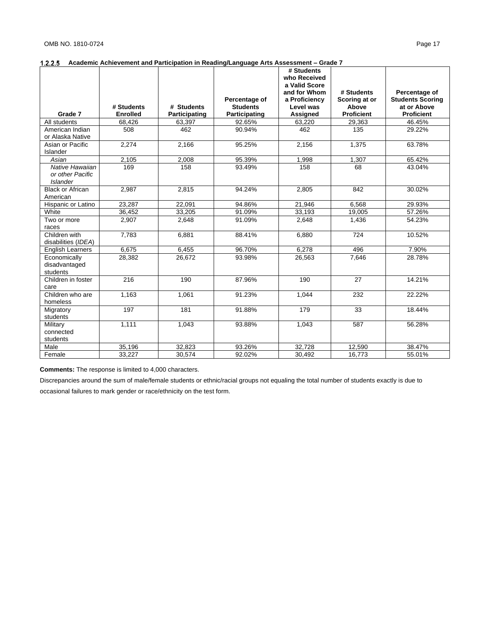|                          |                           |                         |                         | # Students         |                            |                             |
|--------------------------|---------------------------|-------------------------|-------------------------|--------------------|----------------------------|-----------------------------|
|                          |                           |                         |                         | who Received       |                            |                             |
|                          |                           |                         |                         | a Valid Score      |                            |                             |
|                          |                           |                         |                         | and for Whom       | # Students                 | Percentage of               |
|                          |                           |                         | Percentage of           | a Proficiency      | Scoring at or              | <b>Students Scoring</b>     |
| Grade 7                  | # Students                | # Students              | <b>Students</b>         | Level was          | Above<br><b>Proficient</b> | at or Above                 |
| All students             | <b>Enrolled</b><br>68,426 | Participating<br>63,397 | Participating<br>92.65% | Assigned<br>63.220 | 29,363                     | <b>Proficient</b><br>46.45% |
| American Indian          | 508                       | 462                     | 90.94%                  | 462                | 135                        | 29.22%                      |
| or Alaska Native         |                           |                         |                         |                    |                            |                             |
| Asian or Pacific         | 2,274                     | 2,166                   | 95.25%                  | 2,156              | 1,375                      | 63.78%                      |
| Islander                 |                           |                         |                         |                    |                            |                             |
| Asian                    | 2,105                     | 2,008                   | 95.39%                  | 1,998              | 1,307                      | 65.42%                      |
| Native Hawaiian          | 169                       | 158                     | 93.49%                  | 158                | 68                         | 43.04%                      |
| or other Pacific         |                           |                         |                         |                    |                            |                             |
| <b>Islander</b>          |                           |                         |                         |                    |                            |                             |
| <b>Black or African</b>  | 2.987                     | 2,815                   | 94.24%                  | 2,805              | 842                        | 30.02%                      |
| American                 |                           |                         |                         |                    |                            |                             |
| Hispanic or Latino       | 23.287                    | 22,091                  | 94.86%                  | 21.946             | 6.568                      | 29.93%                      |
| White                    | 36,452                    | 33,205                  | 91.09%                  | 33,193             | 19,005                     | 57.26%                      |
| Two or more              | 2,907                     | 2,648                   | 91.09%                  | 2.648              | 1,436                      | 54.23%                      |
| races                    |                           |                         |                         |                    |                            |                             |
| Children with            | 7.783                     | 6.881                   | 88.41%                  | 6.880              | 724                        | 10.52%                      |
| disabilities (IDEA)      |                           |                         |                         |                    |                            |                             |
| <b>English Learners</b>  | 6.675                     | 6.455                   | 96.70%                  | 6.278              | 496                        | 7.90%                       |
| Economically             | 28,382                    | 26,672                  | 93.98%                  | 26,563             | 7,646                      | 28.78%                      |
| disadvantaged            |                           |                         |                         |                    |                            |                             |
| students                 |                           |                         |                         |                    |                            |                             |
| Children in foster       | 216                       | 190                     | 87.96%                  | 190                | 27                         | 14.21%                      |
| care<br>Children who are | 1,163                     |                         | 91.23%                  |                    | 232                        | 22.22%                      |
| homeless                 |                           | 1,061                   |                         | 1,044              |                            |                             |
| Migratory                | 197                       | 181                     | 91.88%                  | 179                | 33                         | 18.44%                      |
| students                 |                           |                         |                         |                    |                            |                             |
| Military                 | 1,111                     | 1,043                   | 93.88%                  | 1,043              | 587                        | 56.28%                      |
| connected                |                           |                         |                         |                    |                            |                             |
| students                 |                           |                         |                         |                    |                            |                             |
| Male                     | 35,196                    | 32,823                  | 93.26%                  | 32,728             | 12,590                     | 38.47%                      |
| Female                   | 33,227                    | 30,574                  | 92.02%                  | 30,492             | 16,773                     | 55.01%                      |

**Comments:** The response is limited to 4,000 characters.

Discrepancies around the sum of male/female students or ethnic/racial groups not equaling the total number of students exactly is due to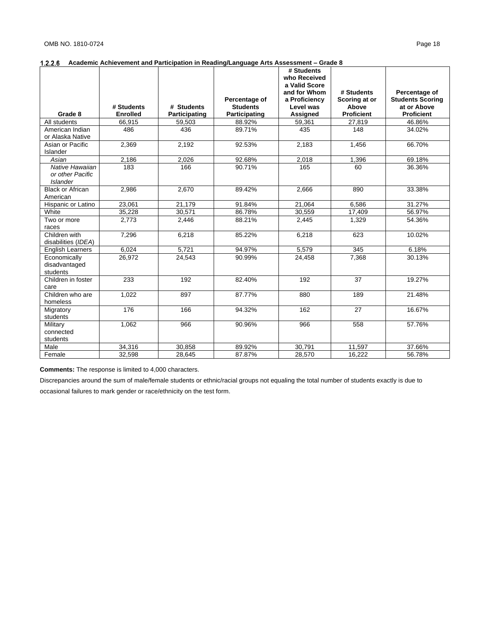|                                |                 |               |                                  | # Students                 |                        |                                        |
|--------------------------------|-----------------|---------------|----------------------------------|----------------------------|------------------------|----------------------------------------|
|                                |                 |               |                                  | who Received               |                        |                                        |
|                                |                 |               |                                  | a Valid Score              |                        |                                        |
|                                |                 |               |                                  | and for Whom               | # Students             | Percentage of                          |
|                                | # Students      | # Students    | Percentage of<br><b>Students</b> | a Proficiency<br>Level was | Scoring at or<br>Above | <b>Students Scoring</b><br>at or Above |
| Grade 8                        | <b>Enrolled</b> | Participating | Participating                    | Assigned                   | <b>Proficient</b>      | <b>Proficient</b>                      |
| All students                   | 66.915          | 59,503        | 88.92%                           | 59,361                     | 27,819                 | 46.86%                                 |
| American Indian                | 486             | 436           | 89.71%                           | 435                        | 148                    | 34.02%                                 |
| or Alaska Native               |                 |               |                                  |                            |                        |                                        |
| Asian or Pacific               | 2,369           | 2,192         | 92.53%                           | 2,183                      | 1,456                  | 66.70%                                 |
| Islander                       |                 |               |                                  |                            |                        |                                        |
| Asian                          | 2,186           | 2,026         | 92.68%                           | 2,018                      | 1,396                  | 69.18%                                 |
| Native Hawaiian                | 183             | 166           | 90.71%                           | 165                        | 60                     | 36.36%                                 |
| or other Pacific               |                 |               |                                  |                            |                        |                                        |
| <b>Islander</b>                |                 |               |                                  |                            |                        |                                        |
| <b>Black or African</b>        | 2,986           | 2,670         | 89.42%                           | 2,666                      | 890                    | 33.38%                                 |
| American<br>Hispanic or Latino | 23.061          | 21,179        | 91.84%                           | 21,064                     | 6.586                  | 31.27%                                 |
| White                          | 35,228          | 30,571        | 86.78%                           | 30.559                     | 17,409                 | 56.97%                                 |
| Two or more                    | 2.773           | 2,446         | 88.21%                           | 2,445                      | 1,329                  | 54.36%                                 |
| races                          |                 |               |                                  |                            |                        |                                        |
| Children with                  | 7,296           | 6,218         | 85.22%                           | 6,218                      | 623                    | 10.02%                                 |
| disabilities (IDEA)            |                 |               |                                  |                            |                        |                                        |
| <b>English Learners</b>        | 6,024           | 5,721         | 94.97%                           | 5,579                      | 345                    | 6.18%                                  |
| Economically                   | 26,972          | 24,543        | 90.99%                           | 24,458                     | 7,368                  | 30.13%                                 |
| disadvantaged                  |                 |               |                                  |                            |                        |                                        |
| students                       |                 |               |                                  |                            |                        |                                        |
| Children in foster             | 233             | 192           | 82.40%                           | 192                        | 37                     | 19.27%                                 |
| care                           |                 |               |                                  |                            |                        |                                        |
| Children who are               | 1,022           | 897           | 87.77%                           | 880                        | 189                    | 21.48%                                 |
| homeless                       | 176             | 166           | 94.32%                           | 162                        | $\overline{27}$        | 16.67%                                 |
| Migratory<br>students          |                 |               |                                  |                            |                        |                                        |
| Military                       | 1.062           | 966           | 90.96%                           | 966                        | 558                    | 57.76%                                 |
| connected                      |                 |               |                                  |                            |                        |                                        |
| students                       |                 |               |                                  |                            |                        |                                        |
| Male                           | 34,316          | 30,858        | 89.92%                           | 30,791                     | 11,597                 | 37.66%                                 |
| Female                         | 32,598          | 28,645        | 87.87%                           | 28,570                     | 16.222                 | 56.78%                                 |

**Comments:** The response is limited to 4,000 characters.

Discrepancies around the sum of male/female students or ethnic/racial groups not equaling the total number of students exactly is due to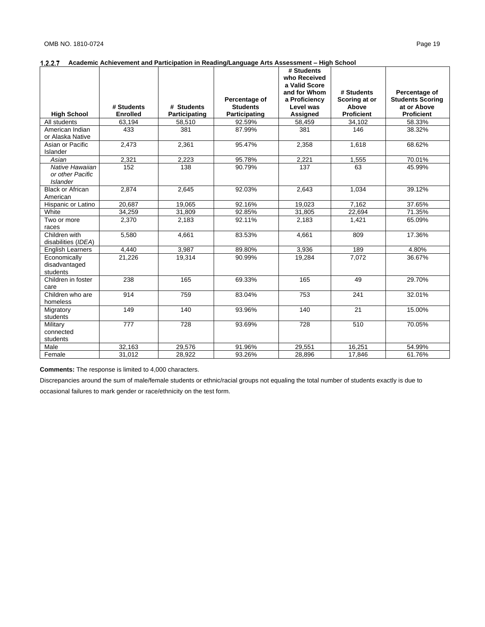|                                     |                 |               |                 | # Students    |                   |                             |
|-------------------------------------|-----------------|---------------|-----------------|---------------|-------------------|-----------------------------|
|                                     |                 |               |                 | who Received  |                   |                             |
|                                     |                 |               |                 | a Valid Score |                   |                             |
|                                     |                 |               |                 | and for Whom  | # Students        | Percentage of               |
|                                     |                 |               | Percentage of   | a Proficiency | Scoring at or     | <b>Students Scoring</b>     |
|                                     | # Students      | # Students    | <b>Students</b> | Level was     | Above             | at or Above                 |
| <b>High School</b>                  | <b>Enrolled</b> | Participating | Participating   | Assigned      | <b>Proficient</b> | <b>Proficient</b><br>58.33% |
| All students                        | 63,194          | 58,510        | 92.59%          | 58,459        | 34,102            |                             |
| American Indian                     | 433             | 381           | 87.99%          | 381           | 146               | 38.32%                      |
| or Alaska Native                    |                 |               |                 |               |                   |                             |
| Asian or Pacific                    | 2,473           | 2,361         | 95.47%          | 2,358         | 1,618             | 68.62%                      |
| Islander                            |                 |               | 95.78%          |               |                   | 70.01%                      |
| Asian                               | 2,321           | 2,223         |                 | 2,221         | 1,555             |                             |
| Native Hawaiian<br>or other Pacific | 152             | 138           | 90.79%          | 137           | 63                | 45.99%                      |
| <b>Islander</b>                     |                 |               |                 |               |                   |                             |
| <b>Black or African</b>             | 2.874           | 2,645         | 92.03%          | 2,643         | 1,034             | 39.12%                      |
| American                            |                 |               |                 |               |                   |                             |
| Hispanic or Latino                  | 20.687          | 19.065        | 92.16%          | 19.023        | 7.162             | 37.65%                      |
| White                               | 34,259          | 31,809        | 92.85%          | 31,805        | 22,694            | 71.35%                      |
| Two or more                         | 2,370           | 2,183         | 92.11%          | 2.183         | 1,421             | 65.09%                      |
| races                               |                 |               |                 |               |                   |                             |
| Children with                       | 5.580           | 4.661         | 83.53%          | 4.661         | 809               | 17.36%                      |
| disabilities (IDEA)                 |                 |               |                 |               |                   |                             |
| <b>English Learners</b>             | 4,440           | 3.987         | 89.80%          | 3,936         | 189               | 4.80%                       |
| Economically                        | 21,226          | 19,314        | 90.99%          | 19,284        | 7,072             | 36.67%                      |
| disadvantaged                       |                 |               |                 |               |                   |                             |
| students                            |                 |               |                 |               |                   |                             |
| Children in foster                  | 238             | 165           | 69.33%          | 165           | 49                | 29.70%                      |
| care                                |                 |               |                 |               |                   |                             |
| Children who are                    | 914             | 759           | 83.04%          | 753           | 241               | 32.01%                      |
| homeless                            |                 |               |                 |               |                   |                             |
| Migratory                           | 149             | 140           | 93.96%          | 140           | 21                | 15.00%                      |
| students                            |                 |               |                 |               |                   |                             |
| Military                            | 777             | 728           | 93.69%          | 728           | 510               | 70.05%                      |
| connected                           |                 |               |                 |               |                   |                             |
| students                            |                 |               |                 |               |                   |                             |
| Male                                | 32,163          | 29,576        | 91.96%          | 29,551        | 16,251            | 54.99%                      |
| Female                              | 31,012          | 28,922        | 93.26%          | 28,896        | 17.846            | 61.76%                      |

**Comments:** The response is limited to 4,000 characters.

Discrepancies around the sum of male/female students or ethnic/racial groups not equaling the total number of students exactly is due to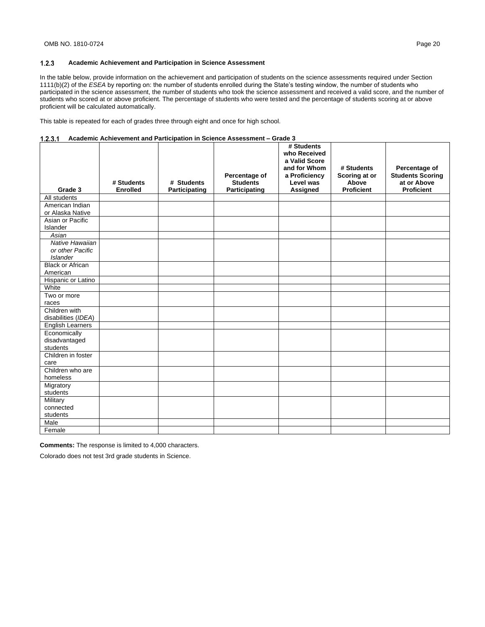In the table below, provide information on the achievement and participation of students on the science assessments required under Section 1111(b)(2) of the *ESEA* by reporting on: the number of students enrolled during the State's testing window, the number of students who participated in the science assessment, the number of students who took the science assessment and received a valid score, and the number of students who scored at or above proficient. The percentage of students who were tested and the percentage of students scoring at or above proficient will be calculated automatically.

This table is repeated for each of grades three through eight and once for high school.

|  |  | 1.2.3.1 Academic Achievement and Participation in Science Assessment – Grade 3 |
|--|--|--------------------------------------------------------------------------------|
|--|--|--------------------------------------------------------------------------------|

| Grade 3                     | # Students<br><b>Enrolled</b> | # Students<br>Participating | Percentage of<br><b>Students</b><br>Participating | # Students<br>who Received<br>a Valid Score<br>and for Whom<br>a Proficiency<br>Level was<br>Assigned | # Students<br>Scoring at or<br>Above<br><b>Proficient</b> | Percentage of<br><b>Students Scoring</b><br>at or Above<br><b>Proficient</b> |
|-----------------------------|-------------------------------|-----------------------------|---------------------------------------------------|-------------------------------------------------------------------------------------------------------|-----------------------------------------------------------|------------------------------------------------------------------------------|
| All students                |                               |                             |                                                   |                                                                                                       |                                                           |                                                                              |
| American Indian             |                               |                             |                                                   |                                                                                                       |                                                           |                                                                              |
| or Alaska Native            |                               |                             |                                                   |                                                                                                       |                                                           |                                                                              |
| Asian or Pacific            |                               |                             |                                                   |                                                                                                       |                                                           |                                                                              |
| Islander                    |                               |                             |                                                   |                                                                                                       |                                                           |                                                                              |
| Asian                       |                               |                             |                                                   |                                                                                                       |                                                           |                                                                              |
| Native Hawaiian             |                               |                             |                                                   |                                                                                                       |                                                           |                                                                              |
| or other Pacific            |                               |                             |                                                   |                                                                                                       |                                                           |                                                                              |
| <b>Islander</b>             |                               |                             |                                                   |                                                                                                       |                                                           |                                                                              |
| <b>Black or African</b>     |                               |                             |                                                   |                                                                                                       |                                                           |                                                                              |
| American                    |                               |                             |                                                   |                                                                                                       |                                                           |                                                                              |
| Hispanic or Latino<br>White |                               |                             |                                                   |                                                                                                       |                                                           |                                                                              |
| Two or more                 |                               |                             |                                                   |                                                                                                       |                                                           |                                                                              |
| races                       |                               |                             |                                                   |                                                                                                       |                                                           |                                                                              |
| Children with               |                               |                             |                                                   |                                                                                                       |                                                           |                                                                              |
| disabilities (IDEA)         |                               |                             |                                                   |                                                                                                       |                                                           |                                                                              |
| <b>English Learners</b>     |                               |                             |                                                   |                                                                                                       |                                                           |                                                                              |
| Economically                |                               |                             |                                                   |                                                                                                       |                                                           |                                                                              |
| disadvantaged               |                               |                             |                                                   |                                                                                                       |                                                           |                                                                              |
| students                    |                               |                             |                                                   |                                                                                                       |                                                           |                                                                              |
| Children in foster          |                               |                             |                                                   |                                                                                                       |                                                           |                                                                              |
| care                        |                               |                             |                                                   |                                                                                                       |                                                           |                                                                              |
| Children who are            |                               |                             |                                                   |                                                                                                       |                                                           |                                                                              |
| homeless                    |                               |                             |                                                   |                                                                                                       |                                                           |                                                                              |
| Migratory                   |                               |                             |                                                   |                                                                                                       |                                                           |                                                                              |
| students                    |                               |                             |                                                   |                                                                                                       |                                                           |                                                                              |
| Military                    |                               |                             |                                                   |                                                                                                       |                                                           |                                                                              |
| connected                   |                               |                             |                                                   |                                                                                                       |                                                           |                                                                              |
| students<br>Male            |                               |                             |                                                   |                                                                                                       |                                                           |                                                                              |
|                             |                               |                             |                                                   |                                                                                                       |                                                           |                                                                              |
| Female                      |                               |                             |                                                   |                                                                                                       |                                                           |                                                                              |

**Comments:** The response is limited to 4,000 characters.

Colorado does not test 3rd grade students in Science.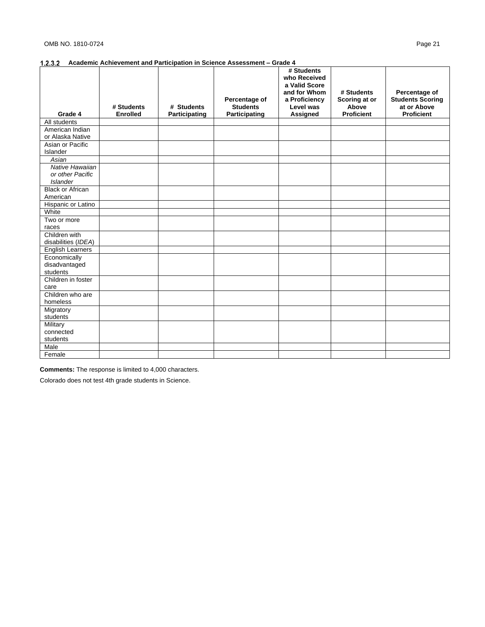| Grade 4                                                | # Students<br><b>Enrolled</b> | # Students<br>Participating | Percentage of<br><b>Students</b><br>Participating | # Students<br>who Received<br>a Valid Score<br>and for Whom<br>a Proficiency<br>Level was<br>Assigned | # Students<br>Scoring at or<br>Above<br><b>Proficient</b> | Percentage of<br><b>Students Scoring</b><br>at or Above<br><b>Proficient</b> |
|--------------------------------------------------------|-------------------------------|-----------------------------|---------------------------------------------------|-------------------------------------------------------------------------------------------------------|-----------------------------------------------------------|------------------------------------------------------------------------------|
| All students                                           |                               |                             |                                                   |                                                                                                       |                                                           |                                                                              |
| American Indian<br>or Alaska Native                    |                               |                             |                                                   |                                                                                                       |                                                           |                                                                              |
| Asian or Pacific<br>Islander                           |                               |                             |                                                   |                                                                                                       |                                                           |                                                                              |
| Asian                                                  |                               |                             |                                                   |                                                                                                       |                                                           |                                                                              |
| Native Hawaiian<br>or other Pacific<br><b>Islander</b> |                               |                             |                                                   |                                                                                                       |                                                           |                                                                              |
| <b>Black or African</b><br>American                    |                               |                             |                                                   |                                                                                                       |                                                           |                                                                              |
| Hispanic or Latino                                     |                               |                             |                                                   |                                                                                                       |                                                           |                                                                              |
| White                                                  |                               |                             |                                                   |                                                                                                       |                                                           |                                                                              |
| Two or more                                            |                               |                             |                                                   |                                                                                                       |                                                           |                                                                              |
| races                                                  |                               |                             |                                                   |                                                                                                       |                                                           |                                                                              |
| Children with<br>disabilities (IDEA)                   |                               |                             |                                                   |                                                                                                       |                                                           |                                                                              |
| <b>English Learners</b>                                |                               |                             |                                                   |                                                                                                       |                                                           |                                                                              |
| Economically<br>disadvantaged<br>students              |                               |                             |                                                   |                                                                                                       |                                                           |                                                                              |
| Children in foster<br>care                             |                               |                             |                                                   |                                                                                                       |                                                           |                                                                              |
| Children who are<br>homeless                           |                               |                             |                                                   |                                                                                                       |                                                           |                                                                              |
| Migratory<br>students                                  |                               |                             |                                                   |                                                                                                       |                                                           |                                                                              |
| Military<br>connected<br>students                      |                               |                             |                                                   |                                                                                                       |                                                           |                                                                              |
| Male                                                   |                               |                             |                                                   |                                                                                                       |                                                           |                                                                              |
| Female                                                 |                               |                             |                                                   |                                                                                                       |                                                           |                                                                              |

**Comments:** The response is limited to 4,000 characters.

Colorado does not test 4th grade students in Science.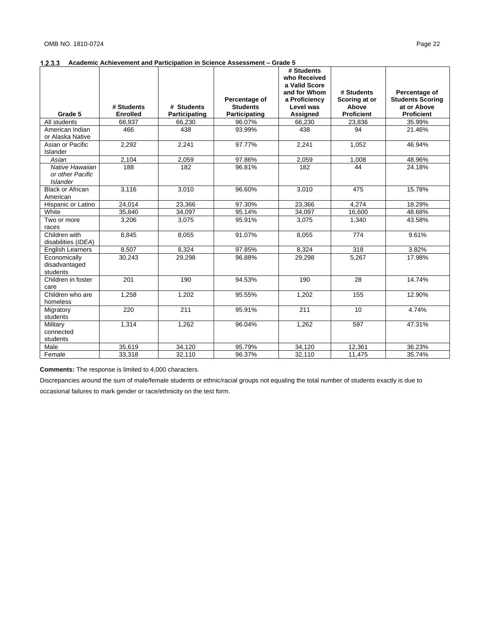|                                                        |                 |               |                                  | # Students<br>who Received<br>a Valid Score |                                      |                                                         |
|--------------------------------------------------------|-----------------|---------------|----------------------------------|---------------------------------------------|--------------------------------------|---------------------------------------------------------|
|                                                        | # Students      | # Students    | Percentage of<br><b>Students</b> | and for Whom<br>a Proficiency<br>Level was  | # Students<br>Scoring at or<br>Above | Percentage of<br><b>Students Scoring</b><br>at or Above |
| Grade 5                                                | <b>Enrolled</b> | Participating | Participating                    | <b>Assigned</b>                             | <b>Proficient</b>                    | <b>Proficient</b>                                       |
| All students                                           | 68,937          | 66,230        | 96.07%                           | 66,230                                      | 23,836                               | 35.99%                                                  |
| American Indian<br>or Alaska Native                    | 466             | 438           | 93.99%                           | 438                                         | 94                                   | 21.46%                                                  |
| Asian or Pacific<br>Islander                           | 2,292           | 2,241         | 97.77%                           | 2,241                                       | 1,052                                | 46.94%                                                  |
| Asian                                                  | 2,104           | 2,059         | 97.86%                           | 2,059                                       | 1,008                                | 48.96%                                                  |
| Native Hawaiian<br>or other Pacific<br><b>Islander</b> | 188             | 182           | 96.81%                           | 182                                         | 44                                   | 24.18%                                                  |
| <b>Black or African</b><br>American                    | 3,116           | 3,010         | 96.60%                           | 3,010                                       | 475                                  | 15.78%                                                  |
| Hispanic or Latino                                     | 24,014          | 23,366        | 97.30%                           | 23,366                                      | 4,274                                | 18.29%                                                  |
| White                                                  | 35,840          | 34,097        | 95.14%                           | 34,097                                      | 16,600                               | 48.68%                                                  |
| Two or more<br>races                                   | 3,206           | 3,075         | 95.91%                           | 3,075                                       | 1,340                                | 43.58%                                                  |
| Children with<br>disabilities (IDEA)                   | 8,845           | 8,055         | 91.07%                           | 8,055                                       | 774                                  | 9.61%                                                   |
| <b>English Learners</b>                                | 8.507           | 8,324         | 97.85%                           | 8,324                                       | 318                                  | 3.82%                                                   |
| Economically<br>disadvantaged<br>students              | 30,243          | 29,298        | 96.88%                           | 29,298                                      | 5,267                                | 17.98%                                                  |
| Children in foster<br>care                             | 201             | 190           | 94.53%                           | 190                                         | 28                                   | 14.74%                                                  |
| Children who are<br>homeless                           | 1,258           | 1,202         | 95.55%                           | 1,202                                       | 155                                  | 12.90%                                                  |
| Migratory<br>students                                  | 220             | 211           | 95.91%                           | 211                                         | 10                                   | $\overline{4.74\%}$                                     |
| Military<br>connected<br>students                      | 1,314           | 1,262         | 96.04%                           | 1,262                                       | 597                                  | 47.31%                                                  |
| Male                                                   | 35,619          | 34,120        | 95.79%                           | 34,120                                      | 12,361                               | 36.23%                                                  |
| Female                                                 | 33,318          | 32,110        | 96.37%                           | 32,110                                      | 11,475                               | 35.74%                                                  |

**Comments:** The response is limited to 4,000 characters.

Discrepancies around the sum of male/female students or ethnic/racial groups not equaling the total number of students exactly is due to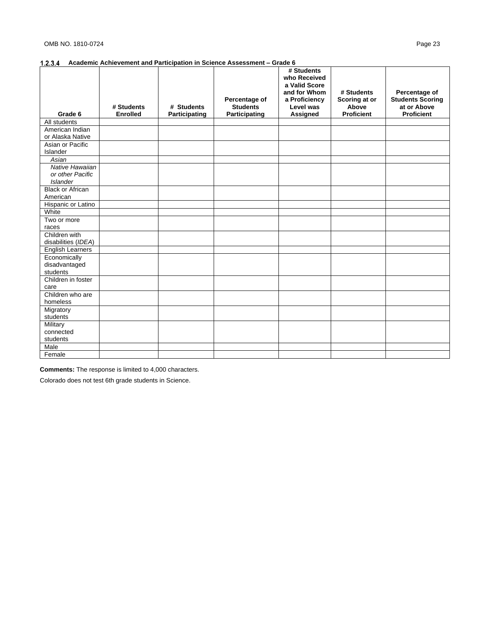|                            |                 |               |                 | # Students<br>who Received<br>a Valid Score |                   |                         |
|----------------------------|-----------------|---------------|-----------------|---------------------------------------------|-------------------|-------------------------|
|                            |                 |               |                 | and for Whom                                | # Students        | Percentage of           |
|                            |                 |               | Percentage of   | a Proficiency                               | Scoring at or     | <b>Students Scoring</b> |
|                            | # Students      | # Students    | <b>Students</b> | Level was                                   | <b>Above</b>      | at or Above             |
| Grade 6                    | <b>Enrolled</b> | Participating | Participating   | Assigned                                    | <b>Proficient</b> | <b>Proficient</b>       |
| All students               |                 |               |                 |                                             |                   |                         |
| American Indian            |                 |               |                 |                                             |                   |                         |
| or Alaska Native           |                 |               |                 |                                             |                   |                         |
| Asian or Pacific           |                 |               |                 |                                             |                   |                         |
| Islander                   |                 |               |                 |                                             |                   |                         |
| Asian                      |                 |               |                 |                                             |                   |                         |
| Native Hawaiian            |                 |               |                 |                                             |                   |                         |
| or other Pacific           |                 |               |                 |                                             |                   |                         |
| <b>Islander</b>            |                 |               |                 |                                             |                   |                         |
| <b>Black or African</b>    |                 |               |                 |                                             |                   |                         |
| American                   |                 |               |                 |                                             |                   |                         |
| Hispanic or Latino         |                 |               |                 |                                             |                   |                         |
| White                      |                 |               |                 |                                             |                   |                         |
| Two or more                |                 |               |                 |                                             |                   |                         |
| races                      |                 |               |                 |                                             |                   |                         |
| Children with              |                 |               |                 |                                             |                   |                         |
| disabilities (IDEA)        |                 |               |                 |                                             |                   |                         |
| English Learners           |                 |               |                 |                                             |                   |                         |
| Economically               |                 |               |                 |                                             |                   |                         |
| disadvantaged              |                 |               |                 |                                             |                   |                         |
| students                   |                 |               |                 |                                             |                   |                         |
| Children in foster<br>care |                 |               |                 |                                             |                   |                         |
| Children who are           |                 |               |                 |                                             |                   |                         |
| homeless                   |                 |               |                 |                                             |                   |                         |
| Migratory                  |                 |               |                 |                                             |                   |                         |
| students                   |                 |               |                 |                                             |                   |                         |
| Military                   |                 |               |                 |                                             |                   |                         |
| connected                  |                 |               |                 |                                             |                   |                         |
| students                   |                 |               |                 |                                             |                   |                         |
| Male                       |                 |               |                 |                                             |                   |                         |
| Female                     |                 |               |                 |                                             |                   |                         |

**Comments:** The response is limited to 4,000 characters.

Colorado does not test 6th grade students in Science.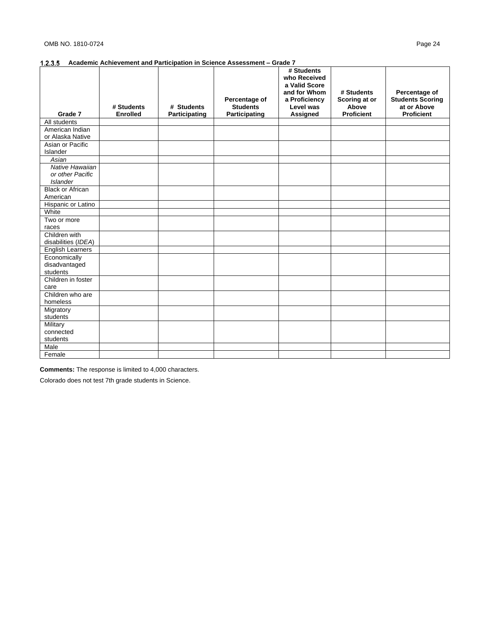|                         | # Students      | # Students    | Percentage of<br><b>Students</b> | # Students<br>who Received<br>a Valid Score<br>and for Whom<br>a Proficiency<br>Level was | # Students<br>Scoring at or<br>Above | Percentage of<br><b>Students Scoring</b><br>at or Above |
|-------------------------|-----------------|---------------|----------------------------------|-------------------------------------------------------------------------------------------|--------------------------------------|---------------------------------------------------------|
| Grade 7                 | <b>Enrolled</b> | Participating | Participating                    | Assigned                                                                                  | <b>Proficient</b>                    | <b>Proficient</b>                                       |
| All students            |                 |               |                                  |                                                                                           |                                      |                                                         |
| American Indian         |                 |               |                                  |                                                                                           |                                      |                                                         |
| or Alaska Native        |                 |               |                                  |                                                                                           |                                      |                                                         |
| Asian or Pacific        |                 |               |                                  |                                                                                           |                                      |                                                         |
| Islander<br>Asian       |                 |               |                                  |                                                                                           |                                      |                                                         |
| Native Hawaiian         |                 |               |                                  |                                                                                           |                                      |                                                         |
| or other Pacific        |                 |               |                                  |                                                                                           |                                      |                                                         |
| <b>Islander</b>         |                 |               |                                  |                                                                                           |                                      |                                                         |
| <b>Black or African</b> |                 |               |                                  |                                                                                           |                                      |                                                         |
| American                |                 |               |                                  |                                                                                           |                                      |                                                         |
| Hispanic or Latino      |                 |               |                                  |                                                                                           |                                      |                                                         |
| White                   |                 |               |                                  |                                                                                           |                                      |                                                         |
| Two or more             |                 |               |                                  |                                                                                           |                                      |                                                         |
| races                   |                 |               |                                  |                                                                                           |                                      |                                                         |
| Children with           |                 |               |                                  |                                                                                           |                                      |                                                         |
| disabilities (IDEA)     |                 |               |                                  |                                                                                           |                                      |                                                         |
| <b>English Learners</b> |                 |               |                                  |                                                                                           |                                      |                                                         |
| Economically            |                 |               |                                  |                                                                                           |                                      |                                                         |
| disadvantaged           |                 |               |                                  |                                                                                           |                                      |                                                         |
| students                |                 |               |                                  |                                                                                           |                                      |                                                         |
| Children in foster      |                 |               |                                  |                                                                                           |                                      |                                                         |
| care                    |                 |               |                                  |                                                                                           |                                      |                                                         |
| Children who are        |                 |               |                                  |                                                                                           |                                      |                                                         |
| homeless                |                 |               |                                  |                                                                                           |                                      |                                                         |
| Migratory               |                 |               |                                  |                                                                                           |                                      |                                                         |
| students                |                 |               |                                  |                                                                                           |                                      |                                                         |
| Military<br>connected   |                 |               |                                  |                                                                                           |                                      |                                                         |
| students                |                 |               |                                  |                                                                                           |                                      |                                                         |
| Male                    |                 |               |                                  |                                                                                           |                                      |                                                         |
|                         |                 |               |                                  |                                                                                           |                                      |                                                         |
| Female                  |                 |               |                                  |                                                                                           |                                      |                                                         |

**Comments:** The response is limited to 4,000 characters.

Colorado does not test 7th grade students in Science.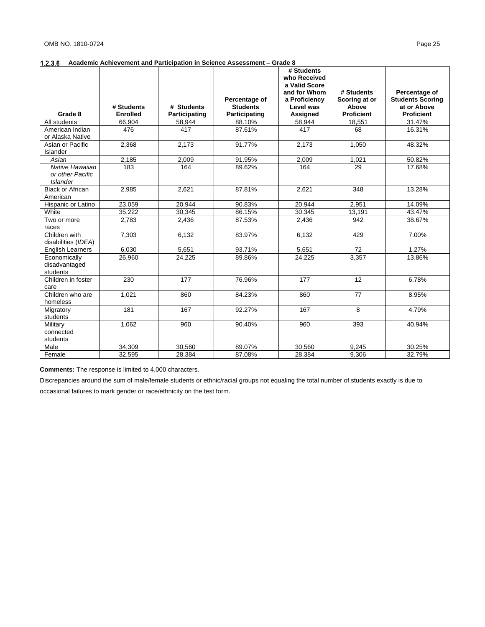|                                                        |                 |               |                 | # Students<br>who Received<br>a Valid Score |                             |                                          |
|--------------------------------------------------------|-----------------|---------------|-----------------|---------------------------------------------|-----------------------------|------------------------------------------|
|                                                        |                 |               | Percentage of   | and for Whom<br>a Proficiency               | # Students<br>Scoring at or | Percentage of<br><b>Students Scoring</b> |
|                                                        | # Students      | # Students    | <b>Students</b> | Level was                                   | Above                       | at or Above                              |
| Grade 8                                                | <b>Enrolled</b> | Participating | Participating   | <b>Assigned</b>                             | <b>Proficient</b>           | <b>Proficient</b>                        |
| All students                                           | 66,904          | 58,944        | 88.10%          | 58,944                                      | 18,551                      | 31.47%                                   |
| American Indian<br>or Alaska Native                    | 476             | 417           | 87.61%          | 417                                         | 68                          | 16.31%                                   |
| Asian or Pacific<br>Islander                           | 2,368           | 2,173         | 91.77%          | 2,173                                       | 1,050                       | 48.32%                                   |
| Asian                                                  | 2,185           | 2,009         | 91.95%          | 2,009                                       | 1,021                       | 50.82%                                   |
| Native Hawaiian<br>or other Pacific<br><b>Islander</b> | 183             | 164           | 89.62%          | 164                                         | 29                          | 17.68%                                   |
| <b>Black or African</b><br>American                    | 2.985           | 2,621         | 87.81%          | 2.621                                       | 348                         | 13.28%                                   |
| Hispanic or Latino                                     | 23,059          | 20,944        | 90.83%          | 20,944                                      | 2,951                       | 14.09%                                   |
| White                                                  | 35.222          | 30,345        | 86.15%          | 30,345                                      | 13,191                      | 43.47%                                   |
| Two or more<br>races                                   | 2,783           | 2,436         | 87.53%          | 2,436                                       | 942                         | 38.67%                                   |
| Children with<br>disabilities (IDEA)                   | 7.303           | 6,132         | 83.97%          | 6,132                                       | 429                         | 7.00%                                    |
| <b>English Learners</b>                                | 6,030           | 5,651         | 93.71%          | 5,651                                       | 72                          | 1.27%                                    |
| Economically<br>disadvantaged<br>students              | 26,960          | 24,225        | 89.86%          | 24,225                                      | 3,357                       | 13.86%                                   |
| Children in foster<br>care                             | 230             | 177           | 76.96%          | 177                                         | 12                          | 6.78%                                    |
| Children who are<br>homeless                           | 1,021           | 860           | 84.23%          | 860                                         | 77                          | 8.95%                                    |
| Migratory<br>students                                  | 181             | 167           | 92.27%          | 167                                         | 8                           | 4.79%                                    |
| Military<br>connected<br>students                      | 1.062           | 960           | 90.40%          | 960                                         | 393                         | 40.94%                                   |
| Male                                                   | 34,309          | 30,560        | 89.07%          | 30,560                                      | 9,245                       | 30.25%                                   |
| Female                                                 | 32,595          | 28,384        | 87.08%          | 28,384                                      | 9,306                       | 32.79%                                   |

**Comments:** The response is limited to 4,000 characters.

Discrepancies around the sum of male/female students or ethnic/racial groups not equaling the total number of students exactly is due to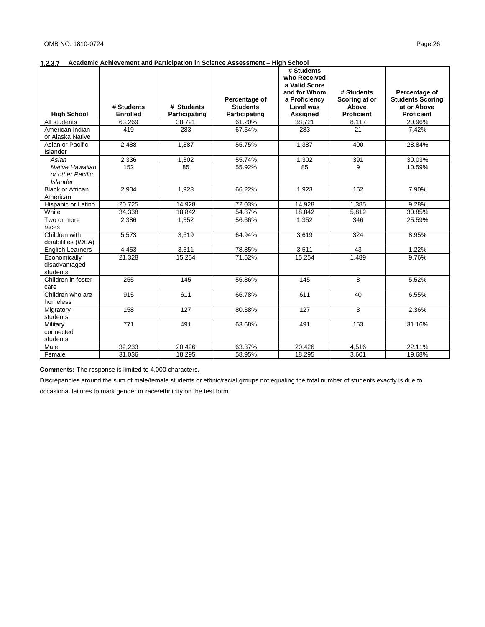## **Academic Achievement and Participation in Science Assessment – High School**

|                                                        |                               |                             |                                                   | # Students<br>who Received<br>a Valid Score                   |                                                           |                                                                              |
|--------------------------------------------------------|-------------------------------|-----------------------------|---------------------------------------------------|---------------------------------------------------------------|-----------------------------------------------------------|------------------------------------------------------------------------------|
| <b>High School</b>                                     | # Students<br><b>Enrolled</b> | # Students<br>Participating | Percentage of<br><b>Students</b><br>Participating | and for Whom<br>a Proficiency<br>Level was<br><b>Assigned</b> | # Students<br>Scoring at or<br>Above<br><b>Proficient</b> | Percentage of<br><b>Students Scoring</b><br>at or Above<br><b>Proficient</b> |
| All students                                           | 63,269                        | 38,721                      | 61.20%                                            | 38.721                                                        | 8,117                                                     | 20.96%                                                                       |
| American Indian<br>or Alaska Native                    | 419                           | 283                         | 67.54%                                            | 283                                                           | 21                                                        | 7.42%                                                                        |
| Asian or Pacific<br>Islander                           | 2,488                         | 1,387                       | 55.75%                                            | 1,387                                                         | 400                                                       | 28.84%                                                                       |
| Asian                                                  | 2,336                         | 1.302                       | 55.74%                                            | 1,302                                                         | 391                                                       | 30.03%                                                                       |
| Native Hawaiian<br>or other Pacific<br><b>Islander</b> | 152                           | 85                          | 55.92%                                            | 85                                                            | 9                                                         | 10.59%                                                                       |
| <b>Black or African</b><br>American                    | 2,904                         | 1,923                       | 66.22%                                            | 1,923                                                         | 152                                                       | 7.90%                                                                        |
| Hispanic or Latino                                     | 20.725                        | 14,928                      | 72.03%                                            | 14,928                                                        | 1,385                                                     | 9.28%                                                                        |
| White                                                  | 34,338                        | 18,842                      | 54.87%                                            | 18,842                                                        | 5,812                                                     | 30.85%                                                                       |
| Two or more<br>races                                   | 2,386                         | 1,352                       | 56.66%                                            | 1,352                                                         | 346                                                       | 25.59%                                                                       |
| Children with<br>disabilities (IDEA)                   | 5,573                         | 3,619                       | 64.94%                                            | 3,619                                                         | 324                                                       | 8.95%                                                                        |
| <b>English Learners</b>                                | 4.453                         | 3.511                       | 78.85%                                            | 3,511                                                         | 43                                                        | 1.22%                                                                        |
| Economically<br>disadvantaged<br>students              | 21,328                        | 15,254                      | 71.52%                                            | 15,254                                                        | 1,489                                                     | 9.76%                                                                        |
| Children in foster<br>care                             | 255                           | 145                         | 56.86%                                            | 145                                                           | 8                                                         | 5.52%                                                                        |
| Children who are<br>homeless                           | 915                           | 611                         | 66.78%                                            | 611                                                           | 40                                                        | 6.55%                                                                        |
| Migratory<br>students                                  | 158                           | 127                         | 80.38%                                            | 127                                                           | 3                                                         | 2.36%                                                                        |
| Military<br>connected<br>students                      | 771                           | 491                         | 63.68%                                            | 491                                                           | 153                                                       | 31.16%                                                                       |
| Male                                                   | 32,233                        | 20,426                      | 63.37%                                            | 20,426                                                        | 4,516                                                     | 22.11%                                                                       |
| Female                                                 | 31,036                        | 18,295                      | 58.95%                                            | 18,295                                                        | 3,601                                                     | 19.68%                                                                       |

**Comments:** The response is limited to 4,000 characters.

Discrepancies around the sum of male/female students or ethnic/racial groups not equaling the total number of students exactly is due to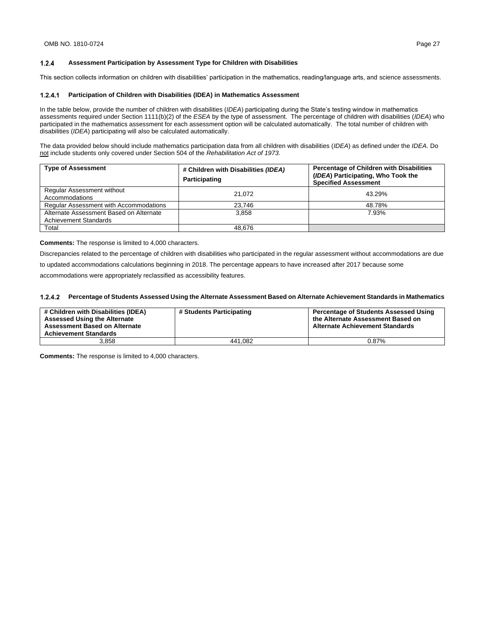This section collects information on children with disabilities' participation in the mathematics, reading/language arts, and science assessments.

### **Participation of Children with Disabilities (IDEA) in Mathematics Assessment**

In the table below, provide the number of children with disabilities (*IDEA*) participating during the State's testing window in mathematics assessments required under Section 1111(b)(2) of the *ESEA* by the type of assessment. The percentage of children with disabilities (*IDEA*) who participated in the mathematics assessment for each assessment option will be calculated automatically. The total number of children with disabilities (*IDEA*) participating will also be calculated automatically.

The data provided below should include mathematics participation data from all children with disabilities (*IDEA*) as defined under the *IDEA*. Do not include students only covered under Section 504 of the *Rehabilitation Act of 1973*.

| <b>Type of Assessment</b>                                               | # Children with Disabilities (IDEA)<br>Participating | Percentage of Children with Disabilities<br>(IDEA) Participating, Who Took the<br><b>Specified Assessment</b> |
|-------------------------------------------------------------------------|------------------------------------------------------|---------------------------------------------------------------------------------------------------------------|
| <b>Regular Assessment without</b><br>Accommodations                     | 21.072                                               | 43.29%                                                                                                        |
| <b>Regular Assessment with Accommodations</b>                           | 23,746                                               | 48.78%                                                                                                        |
| Alternate Assessment Based on Alternate<br><b>Achievement Standards</b> | 3.858                                                | 7.93%                                                                                                         |
| Total                                                                   | 48.676                                               |                                                                                                               |

**Comments:** The response is limited to 4,000 characters.

Discrepancies related to the percentage of children with disabilities who participated in the regular assessment without accommodations are due to updated accommodations calculations beginning in 2018. The percentage appears to have increased after 2017 because some accommodations were appropriately reclassified as accessibility features.

#### **Percentage of Students Assessed Using the Alternate Assessment Based on Alternate Achievement Standards in Mathematics**

| # Children with Disabilities (IDEA)<br><b>Assessed Using the Alternate</b><br><b>Assessment Based on Alternate</b><br><b>Achievement Standards</b> | # Students Participating | <b>Percentage of Students Assessed Using</b><br>the Alternate Assessment Based on<br><b>Alternate Achievement Standards</b> |
|----------------------------------------------------------------------------------------------------------------------------------------------------|--------------------------|-----------------------------------------------------------------------------------------------------------------------------|
| 3.858                                                                                                                                              | 441.082                  | 0.87%                                                                                                                       |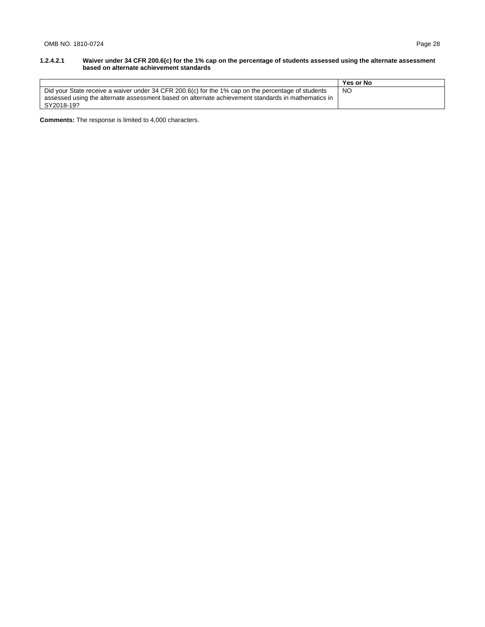#### **1.2.4.2.1 Waiver under 34 CFR 200.6(c) for the 1% cap on the percentage of students assessed using the alternate assessment based on alternate achievement standards**

|                                                                                                    | <b>Yes or No</b> |
|----------------------------------------------------------------------------------------------------|------------------|
| Did your State receive a waiver under 34 CFR 200.6(c) for the 1% cap on the percentage of students | NO               |
| assessed using the alternate assessment based on alternate achievement standards in mathematics in |                  |
| SY2018-19?                                                                                         |                  |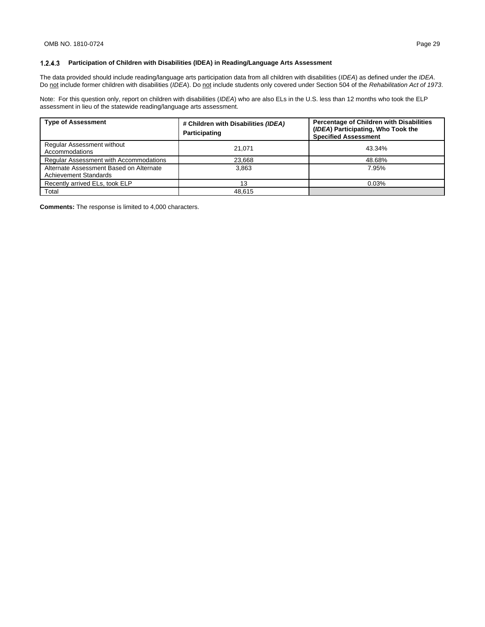### **Participation of Children with Disabilities (IDEA) in Reading/Language Arts Assessment**

The data provided should include reading/language arts participation data from all children with disabilities (*IDEA*) as defined under the *IDEA*. Do not include former children with disabilities (*IDEA*). Do not include students only covered under Section 504 of the *Rehabilitation Act of 1973*.

Note: For this question only, report on children with disabilities (*IDEA*) who are also ELs in the U.S. less than 12 months who took the ELP assessment in lieu of the statewide reading/language arts assessment.

| <b>Type of Assessment</b>                                               | # Children with Disabilities (IDEA)<br>Participating | Percentage of Children with Disabilities<br>(IDEA) Participating, Who Took the<br><b>Specified Assessment</b> |
|-------------------------------------------------------------------------|------------------------------------------------------|---------------------------------------------------------------------------------------------------------------|
| <b>Regular Assessment without</b><br>Accommodations                     | 21.071                                               | 43.34%                                                                                                        |
| <b>Regular Assessment with Accommodations</b>                           | 23,668                                               | 48.68%                                                                                                        |
| Alternate Assessment Based on Alternate<br><b>Achievement Standards</b> | 3.863                                                | 7.95%                                                                                                         |
| Recently arrived ELs, took ELP                                          | 13                                                   | 0.03%                                                                                                         |
| Total                                                                   | 48.615                                               |                                                                                                               |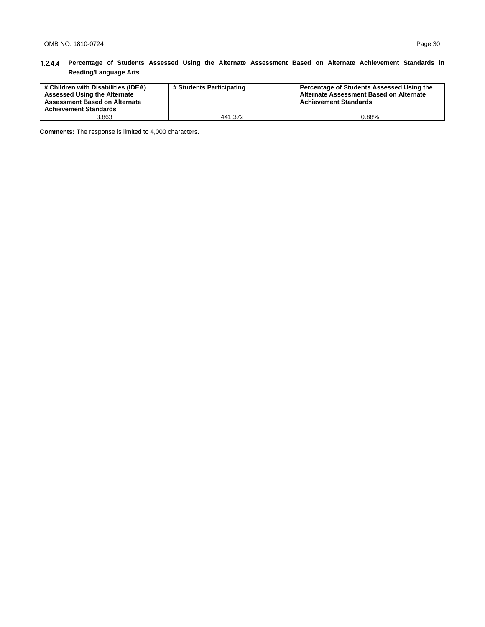## **Percentage of Students Assessed Using the Alternate Assessment Based on Alternate Achievement Standards in Reading/Language Arts**

| # Children with Disabilities (IDEA)<br><b>Assessed Using the Alternate</b><br><b>Assessment Based on Alternate</b><br><b>Achievement Standards</b> | # Students Participating | Percentage of Students Assessed Using the<br>Alternate Assessment Based on Alternate<br><b>Achievement Standards</b> |
|----------------------------------------------------------------------------------------------------------------------------------------------------|--------------------------|----------------------------------------------------------------------------------------------------------------------|
| 3.863                                                                                                                                              | 441.372                  | 0.88%                                                                                                                |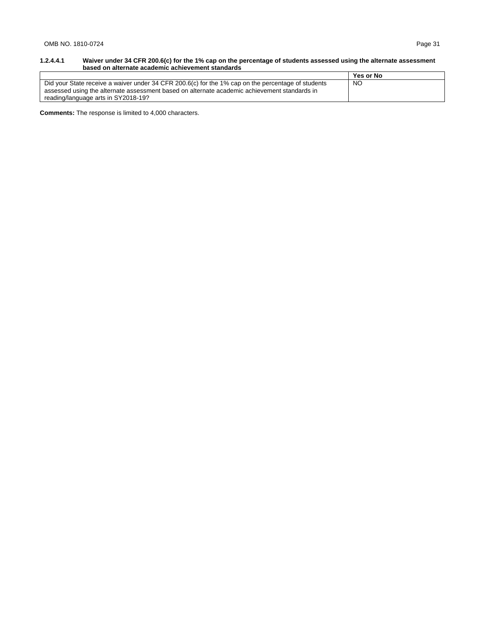#### **1.2.4.4.1 Waiver under 34 CFR 200.6(c) for the 1% cap on the percentage of students assessed using the alternate assessment based on alternate academic achievement standards**

|                                                                                                    | Yes or No |
|----------------------------------------------------------------------------------------------------|-----------|
| Did your State receive a waiver under 34 CFR 200.6(c) for the 1% cap on the percentage of students | NO        |
| assessed using the alternate assessment based on alternate academic achievement standards in       |           |
| reading/language arts in SY2018-19?                                                                |           |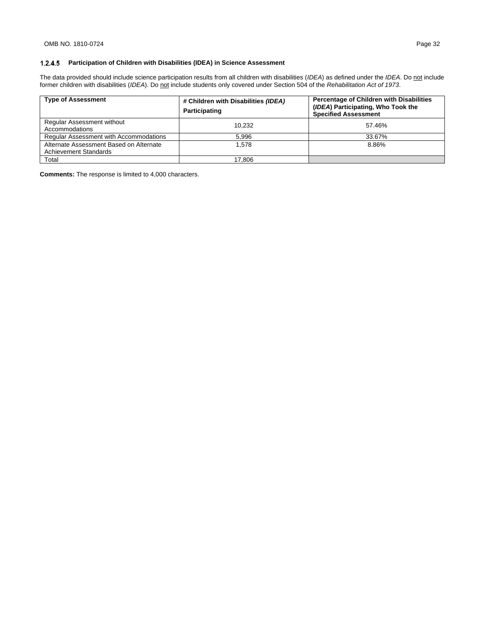The data provided should include science participation results from all children with disabilities (*IDEA*) as defined under the *IDEA*. Do not include former children with disabilities (*IDEA*). Do not include students only covered under Section 504 of the *Rehabilitation Act of 1973*.

| <b>Type of Assessment</b>                                               | # Children with Disabilities (IDEA)<br>Participating | Percentage of Children with Disabilities<br>(IDEA) Participating, Who Took the<br><b>Specified Assessment</b> |
|-------------------------------------------------------------------------|------------------------------------------------------|---------------------------------------------------------------------------------------------------------------|
| Regular Assessment without<br>Accommodations                            | 10.232                                               | 57.46%                                                                                                        |
| <b>Regular Assessment with Accommodations</b>                           | 5.996                                                | 33.67%                                                                                                        |
| Alternate Assessment Based on Alternate<br><b>Achievement Standards</b> | 1.578                                                | 8.86%                                                                                                         |
| Total                                                                   | 17.806                                               |                                                                                                               |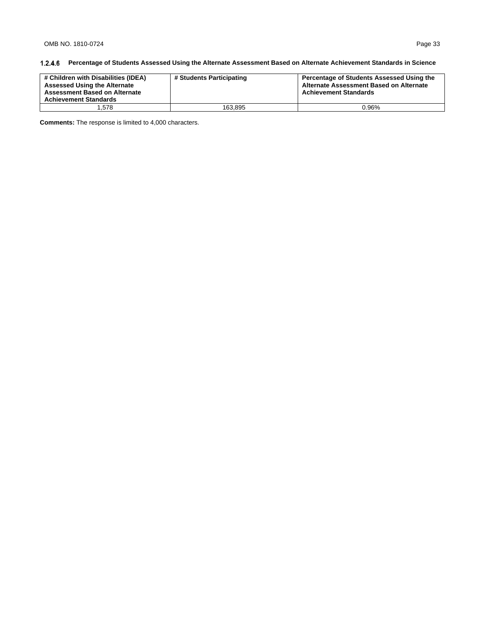## **Percentage of Students Assessed Using the Alternate Assessment Based on Alternate Achievement Standards in Science**

| # Children with Disabilities (IDEA)<br><b>Assessed Using the Alternate</b><br><b>Assessment Based on Alternate</b><br><b>Achievement Standards</b> | # Students Participating | Percentage of Students Assessed Using the<br>Alternate Assessment Based on Alternate<br><b>Achievement Standards</b> |
|----------------------------------------------------------------------------------------------------------------------------------------------------|--------------------------|----------------------------------------------------------------------------------------------------------------------|
| . 578                                                                                                                                              | 163.895                  | 0.96%                                                                                                                |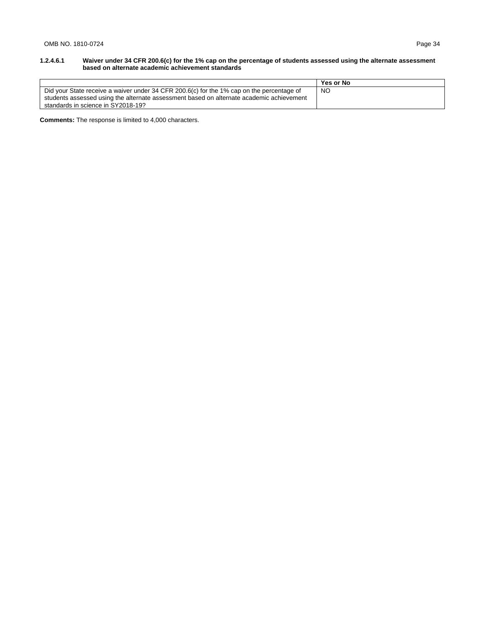#### **1.2.4.6.1 Waiver under 34 CFR 200.6(c) for the 1% cap on the percentage of students assessed using the alternate assessment based on alternate academic achievement standards**

|                                                                                           | Yes or No |
|-------------------------------------------------------------------------------------------|-----------|
| Did your State receive a waiver under 34 CFR 200.6(c) for the 1% cap on the percentage of | NO        |
| students assessed using the alternate assessment based on alternate academic achievement  |           |
| standards in science in SY2018-19?                                                        |           |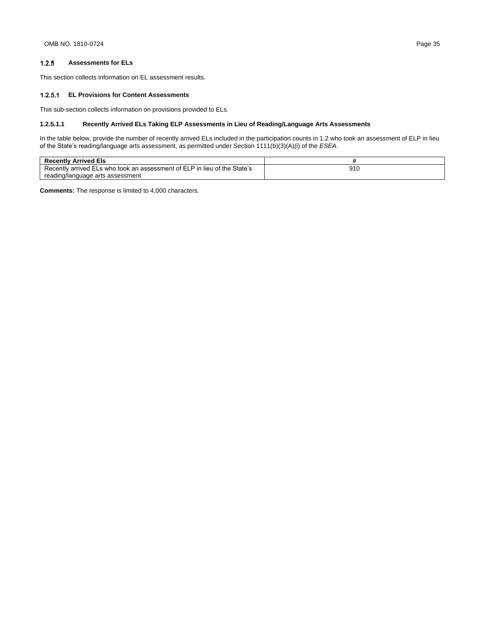#### $1.2.5$ **Assessments for ELs**

This section collects information on EL assessment results.

#### **EL Provisions for Content Assessments**

This sub-section collects information on provisions provided to ELs.

## **1.2.5.1.1 Recently Arrived ELs Taking ELP Assessments in Lieu of Reading/Language Arts Assessments**

In the table below, provide the number of recently arrived ELs included in the participation counts in 1.2 who took an assessment of ELP in lieu of the State's reading/language arts assessment, as permitted under Section 1111(b)(3)(A)(i) of the *ESEA*.

| <b>Recently Arrived Els</b>                                               |                     |  |
|---------------------------------------------------------------------------|---------------------|--|
| Recently arrived ELs who took an assessment of ELP in lieu of the State's | <b>016</b><br>ອ ເ ເ |  |
| reading/language arts assessment                                          |                     |  |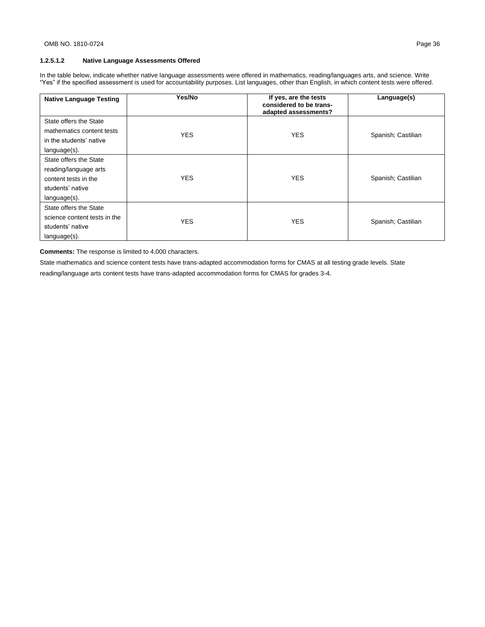## **1.2.5.1.2 Native Language Assessments Offered**

In the table below, indicate whether native language assessments were offered in mathematics, reading/languages arts, and science. Write "Yes" if the specified assessment is used for accountability purposes. List languages, other than English, in which content tests were offered.

| <b>Native Language Testing</b>                                                                              | Yes/No     | If yes, are the tests<br>considered to be trans-<br>adapted assessments? | Language(s)        |
|-------------------------------------------------------------------------------------------------------------|------------|--------------------------------------------------------------------------|--------------------|
| State offers the State<br>mathematics content tests<br>in the students' native<br>language(s).              | YES.       | <b>YES</b>                                                               | Spanish; Castilian |
| State offers the State<br>reading/language arts<br>content tests in the<br>students' native<br>language(s). | <b>YES</b> | <b>YES</b>                                                               | Spanish; Castilian |
| State offers the State<br>science content tests in the<br>students' native<br>language(s).                  | <b>YES</b> | <b>YES</b>                                                               | Spanish; Castilian |

**Comments:** The response is limited to 4,000 characters.

State mathematics and science content tests have trans-adapted accommodation forms for CMAS at all testing grade levels. State

reading/language arts content tests have trans-adapted accommodation forms for CMAS for grades 3-4.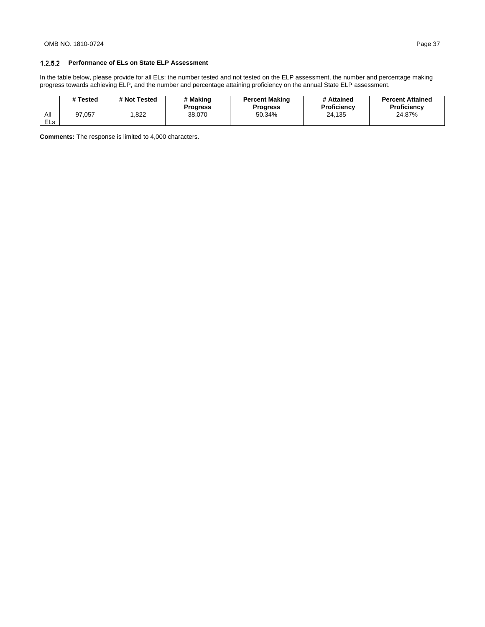In the table below, please provide for all ELs: the number tested and not tested on the ELP assessment, the number and percentage making progress towards achieving ELP, and the number and percentage attaining proficiency on the annual State ELP assessment.

|                   | # Tested | # Not Tested | # Making<br><b>Progress</b> | <b>Percent Making</b><br><b>Progress</b> | # Attained<br><b>Proficiency</b> | <b>Percent Attained</b><br><b>Proficiency</b> |
|-------------------|----------|--------------|-----------------------------|------------------------------------------|----------------------------------|-----------------------------------------------|
| All<br><b>ELs</b> | 97.057   | ,822         | 38.070                      | 50.34%                                   | 24.135                           | 24.87%                                        |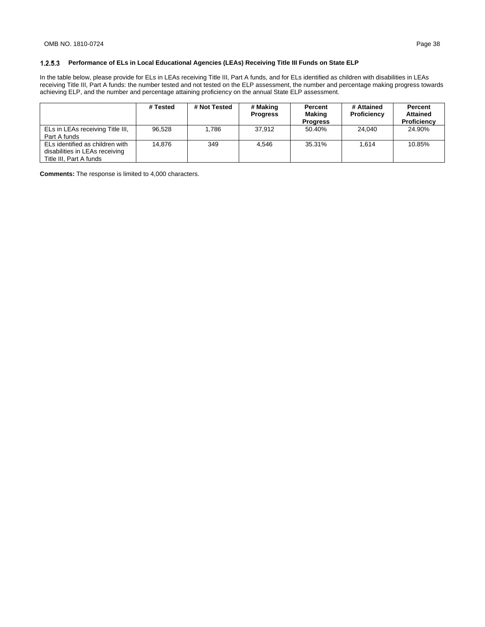## **Performance of ELs in Local Educational Agencies (LEAs) Receiving Title III Funds on State ELP**

In the table below, please provide for ELs in LEAs receiving Title III, Part A funds, and for ELs identified as children with disabilities in LEAs receiving Title III, Part A funds: the number tested and not tested on the ELP assessment, the number and percentage making progress towards achieving ELP, and the number and percentage attaining proficiency on the annual State ELP assessment.

|                                                                                              | # Tested | # Not Tested | # Making<br><b>Progress</b> | Percent<br>Making<br><b>Progress</b> | # Attained<br>Proficiency | Percent<br><b>Attained</b><br>Proficiency |
|----------------------------------------------------------------------------------------------|----------|--------------|-----------------------------|--------------------------------------|---------------------------|-------------------------------------------|
| ELs in LEAs receiving Title III,<br>Part A funds                                             | 96.528   | 1.786        | 37.912                      | 50.40%                               | 24.040                    | 24.90%                                    |
| ELs identified as children with<br>disabilities in LEAs receiving<br>Title III, Part A funds | 14.876   | 349          | 4.546                       | 35.31%                               | 1.614                     | 10.85%                                    |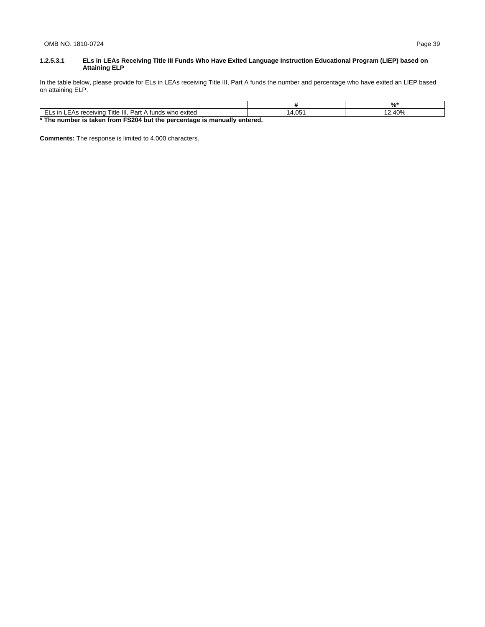### **1.2.5.3.1 ELs in LEAs Receiving Title III Funds Who Have Exited Language Instruction Educational Program (LIEP) based on Attaining ELP**

In the table below, please provide for ELs in LEAs receiving Title III, Part A funds the number and percentage who have exited an LIEP based on attaining ELP.

|                                                                          |        | د 1ٍ0 |  |  |
|--------------------------------------------------------------------------|--------|-------|--|--|
| ELs in LEAs receiving Title III. Part A funds who exited                 | 14.051 | 2.40% |  |  |
| * The number is taken from FS204 but the percentage is manually entered. |        |       |  |  |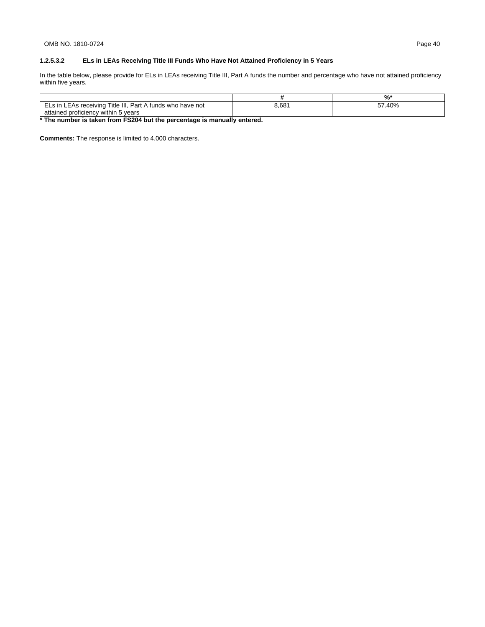## **1.2.5.3.2 ELs in LEAs Receiving Title III Funds Who Have Not Attained Proficiency in 5 Years**

In the table below, please provide for ELs in LEAs receiving Title III, Part A funds the number and percentage who have not attained proficiency within five years.

|                                                            |       | %    |
|------------------------------------------------------------|-------|------|
| ELs in LEAs receiving Title III, Part A funds who have not | 3,681 | .40% |
| attained proficiency within 5 years                        |       |      |

**\* The number is taken from FS204 but the percentage is manually entered.**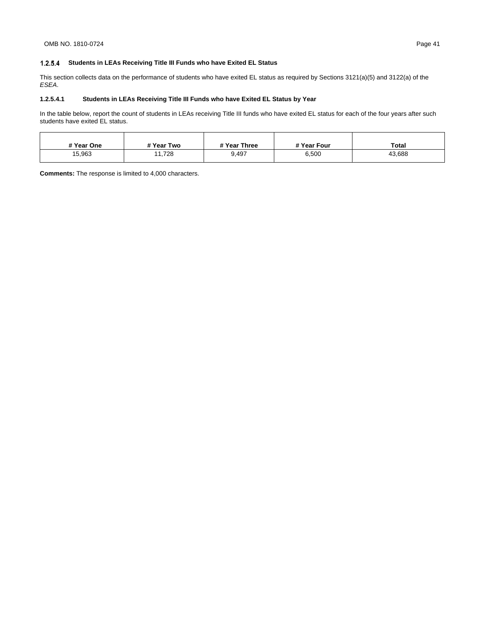## **Students in LEAs Receiving Title III Funds who have Exited EL Status**

This section collects data on the performance of students who have exited EL status as required by Sections 3121(a)(5) and 3122(a) of the *ESEA*.

## **1.2.5.4.1 Students in LEAs Receiving Title III Funds who have Exited EL Status by Year**

In the table below, report the count of students in LEAs receiving Title III funds who have exited EL status for each of the four years after such students have exited EL status.

| # Year One | # Year Two | # Year Three | # Year Four | <b>Total</b> |
|------------|------------|--------------|-------------|--------------|
| 15,963     | 11,728     | 9,497        | 6,500       | 43,688       |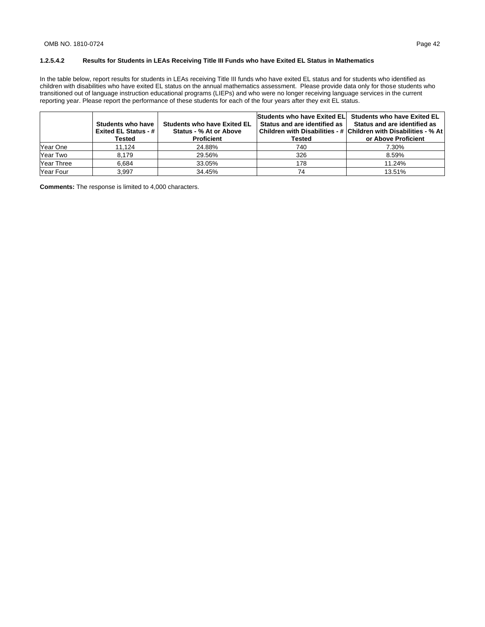## **1.2.5.4.2 Results for Students in LEAs Receiving Title III Funds who have Exited EL Status in Mathematics**

In the table below, report results for students in LEAs receiving Title III funds who have exited EL status and for students who identified as children with disabilities who have exited EL status on the annual mathematics assessment. Please provide data only for those students who transitioned out of language instruction educational programs (LIEPs) and who were no longer receiving language services in the current reporting year. Please report the performance of these students for each of the four years after they exit EL status.

|            | Students who have<br>Exited EL Status - #  <br>Tested | <b>Students who have Exited EL</b><br>Status - % At or Above<br><b>Proficient</b> | Status and are identified as I<br>Tested | Students who have Exited ELI Students who have Exited EL<br>Status and are identified as<br>Children with Disabilities - # Children with Disabilities - % At<br>or Above Proficient |
|------------|-------------------------------------------------------|-----------------------------------------------------------------------------------|------------------------------------------|-------------------------------------------------------------------------------------------------------------------------------------------------------------------------------------|
| Year One   | 11,124                                                | 24.88%                                                                            | 740                                      | 7.30%                                                                                                                                                                               |
| Year Two   | 8.179                                                 | 29.56%                                                                            | 326                                      | 8.59%                                                                                                                                                                               |
| Year Three | 6.684                                                 | 33.05%                                                                            | 178                                      | 11.24%                                                                                                                                                                              |
| Year Four  | 3.997                                                 | 34.45%                                                                            | 74                                       | 13.51%                                                                                                                                                                              |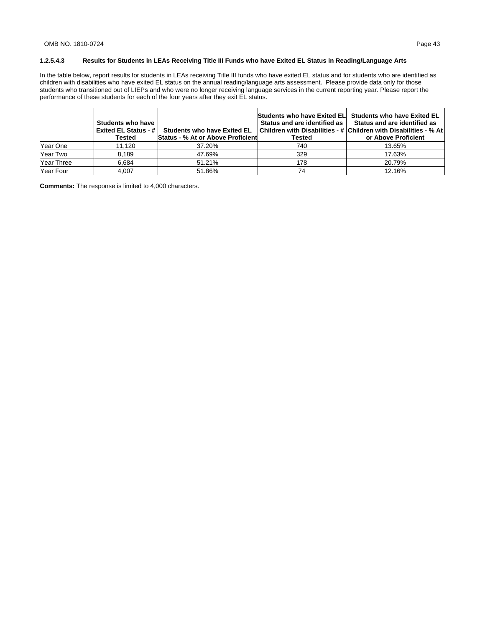## **1.2.5.4.3 Results for Students in LEAs Receiving Title III Funds who have Exited EL Status in Reading/Language Arts**

In the table below, report results for students in LEAs receiving Title III funds who have exited EL status and for students who are identified as children with disabilities who have exited EL status on the annual reading/language arts assessment. Please provide data only for those students who transitioned out of LIEPs and who were no longer receiving language services in the current reporting year. Please report the performance of these students for each of the four years after they exit EL status.

|            | Students who have<br><b>Exited EL Status - #1</b><br>Tested | <b>Students who have Exited EL</b><br><b>Status - % At or Above Proficient</b> | Status and are identified as I<br>Tested | Students who have Exited ELI Students who have Exited EL<br>Status and are identified as<br>Children with Disabilities - # Children with Disabilities - % At<br>or Above Proficient |
|------------|-------------------------------------------------------------|--------------------------------------------------------------------------------|------------------------------------------|-------------------------------------------------------------------------------------------------------------------------------------------------------------------------------------|
| Year One   | 11,120                                                      | 37.20%                                                                         | 740                                      | 13.65%                                                                                                                                                                              |
| Year Two   | 8.189                                                       | 47.69%                                                                         | 329                                      | 17.63%                                                                                                                                                                              |
| Year Three | 6.684                                                       | 51.21%                                                                         | 178                                      | 20.79%                                                                                                                                                                              |
| Year Four  | 4.007                                                       | 51.86%                                                                         | 74                                       | 12.16%                                                                                                                                                                              |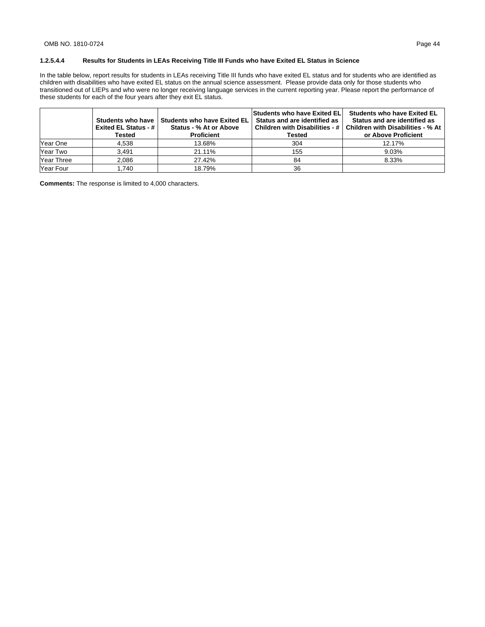## **1.2.5.4.4 Results for Students in LEAs Receiving Title III Funds who have Exited EL Status in Science**

In the table below, report results for students in LEAs receiving Title III funds who have exited EL status and for students who are identified as children with disabilities who have exited EL status on the annual science assessment. Please provide data only for those students who transitioned out of LIEPs and who were no longer receiving language services in the current reporting year. Please report the performance of these students for each of the four years after they exit EL status.

|            | <b>Exited EL Status - #  </b><br>Tested | Students who have I Students who have Exited EL<br>Status - % At or Above<br><b>Proficient</b> | <b>Students who have Exited ELI</b><br>Status and are identified as<br>Children with Disabilities - #  <br>Tested | <b>Students who have Exited EL</b><br>Status and are identified as<br>Children with Disabilities - % At<br>or Above Proficient |
|------------|-----------------------------------------|------------------------------------------------------------------------------------------------|-------------------------------------------------------------------------------------------------------------------|--------------------------------------------------------------------------------------------------------------------------------|
| Year One   | 4.538                                   | 13.68%                                                                                         | 304                                                                                                               | 12.17%                                                                                                                         |
| Year Two   | 3,491                                   | 21.11%                                                                                         | 155                                                                                                               | 9.03%                                                                                                                          |
| Year Three | 2.086                                   | 27.42%                                                                                         | 84                                                                                                                | 8.33%                                                                                                                          |
| Year Four  | .740                                    | 18.79%                                                                                         | 36                                                                                                                |                                                                                                                                |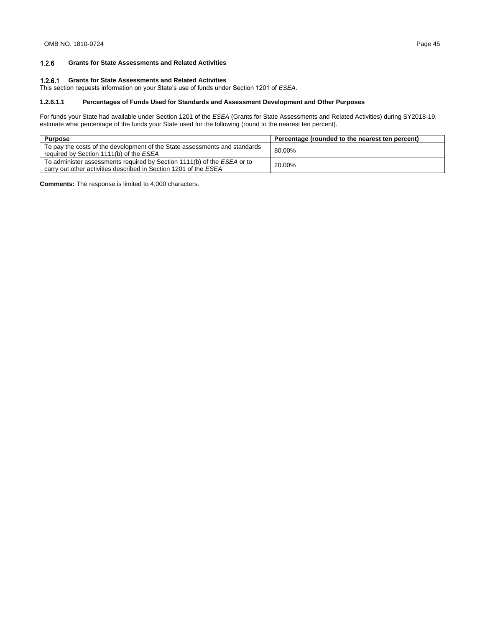#### $1.2.6$ **Grants for State Assessments and Related Activities**

## **Grants for State Assessments and Related Activities**

This section requests information on your State's use of funds under Section 1201 of *ESEA*.

### **1.2.6.1.1 Percentages of Funds Used for Standards and Assessment Development and Other Purposes**

For funds your State had available under Section 1201 of the *ESEA* (Grants for State Assessments and Related Activities) during SY2018-19, estimate what percentage of the funds your State used for the following (round to the nearest ten percent).

| <b>Purpose</b>                                                                                                                              | Percentage (rounded to the nearest ten percent) |
|---------------------------------------------------------------------------------------------------------------------------------------------|-------------------------------------------------|
| To pay the costs of the development of the State assessments and standards<br>required by Section 1111(b) of the ESEA                       | 80.00%                                          |
| To administer assessments required by Section 1111(b) of the ESEA or to<br>carry out other activities described in Section 1201 of the ESEA | 20.00%                                          |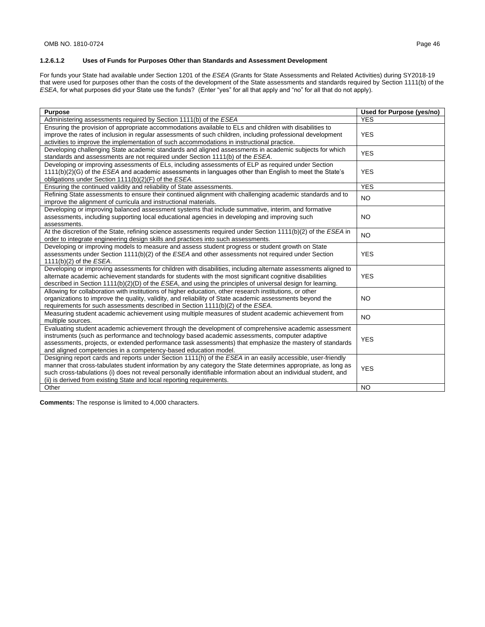## **1.2.6.1.2 Uses of Funds for Purposes Other than Standards and Assessment Development**

For funds your State had available under Section 1201 of the *ESEA* (Grants for State Assessments and Related Activities) during SY2018-19 that were used for purposes other than the costs of the development of the State assessments and standards required by Section 1111(b) of the *ESEA*, for what purposes did your State use the funds? (Enter "yes" for all that apply and "no" for all that do not apply).

| <b>Purpose</b>                                                                                                       | Used for Purpose (yes/no) |
|----------------------------------------------------------------------------------------------------------------------|---------------------------|
| Administering assessments required by Section 1111(b) of the ESEA                                                    | <b>YES</b>                |
| Ensuring the provision of appropriate accommodations available to ELs and children with disabilities to              |                           |
| improve the rates of inclusion in regular assessments of such children, including professional development           | <b>YES</b>                |
| activities to improve the implementation of such accommodations in instructional practice.                           |                           |
| Developing challenging State academic standards and aligned assessments in academic subjects for which               | <b>YES</b>                |
| standards and assessments are not required under Section 1111(b) of the ESEA.                                        |                           |
| Developing or improving assessments of ELs, including assessments of ELP as required under Section                   |                           |
| 1111(b)(2)(G) of the <i>ESEA</i> and academic assessments in languages other than English to meet the State's        | <b>YES</b>                |
| obligations under Section 1111(b)(2)(F) of the ESEA.                                                                 |                           |
| Ensuring the continued validity and reliability of State assessments.                                                | <b>YES</b>                |
| Refining State assessments to ensure their continued alignment with challenging academic standards and to            | <b>NO</b>                 |
| improve the alignment of curricula and instructional materials.                                                      |                           |
| Developing or improving balanced assessment systems that include summative, interim, and formative                   |                           |
| assessments, including supporting local educational agencies in developing and improving such                        | <b>NO</b>                 |
| assessments.                                                                                                         |                           |
| At the discretion of the State, refining science assessments required under Section 1111(b)(2) of the ESEA in        | <b>NO</b>                 |
| order to integrate engineering design skills and practices into such assessments.                                    |                           |
| Developing or improving models to measure and assess student progress or student growth on State                     |                           |
| assessments under Section 1111(b)(2) of the ESEA and other assessments not required under Section                    | <b>YES</b>                |
| $1111(b)(2)$ of the <i>ESEA</i> .                                                                                    |                           |
| Developing or improving assessments for children with disabilities, including alternate assessments aligned to       |                           |
| alternate academic achievement standards for students with the most significant cognitive disabilities               | <b>YES</b>                |
| described in Section $1111(b)(2)(D)$ of the <i>ESEA</i> , and using the principles of universal design for learning. |                           |
| Allowing for collaboration with institutions of higher education, other research institutions, or other              |                           |
| organizations to improve the quality, validity, and reliability of State academic assessments beyond the             | <b>NO</b>                 |
| requirements for such assessments described in Section 1111(b)(2) of the <i>ESEA</i> .                               |                           |
| Measuring student academic achievement using multiple measures of student academic achievement from                  | <b>NO</b>                 |
| multiple sources.                                                                                                    |                           |
| Evaluating student academic achievement through the development of comprehensive academic assessment                 |                           |
| instruments (such as performance and technology based academic assessments, computer adaptive                        | <b>YES</b>                |
| assessments, projects, or extended performance task assessments) that emphasize the mastery of standards             |                           |
| and aligned competencies in a competency-based education model.                                                      |                           |
| Designing report cards and reports under Section 1111(h) of the ESEA in an easily accessible, user-friendly          |                           |
| manner that cross-tabulates student information by any category the State determines appropriate, as long as         | <b>YES</b>                |
| such cross-tabulations (i) does not reveal personally identifiable information about an individual student, and      |                           |
| (ii) is derived from existing State and local reporting requirements.                                                |                           |
| Other                                                                                                                | <b>NO</b>                 |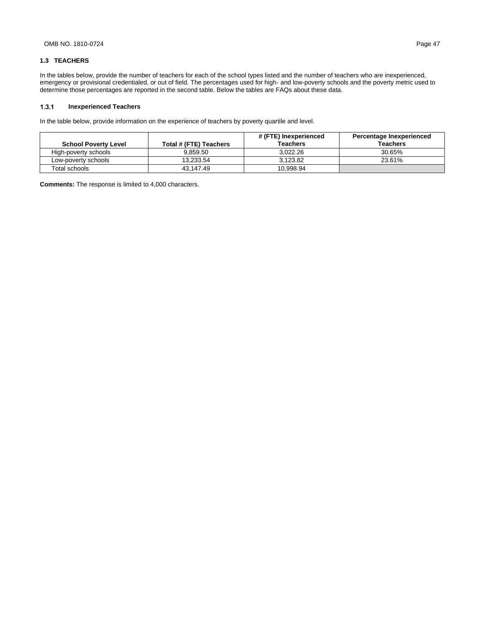### **1.3 TEACHERS**

In the tables below, provide the number of teachers for each of the school types listed and the number of teachers who are inexperienced, emergency or provisional credentialed, or out of field. The percentages used for high- and low-poverty schools and the poverty metric used to determine those percentages are reported in the second table. Below the tables are FAQs about these data.

#### $1.3.1$ **Inexperienced Teachers**

In the table below, provide information on the experience of teachers by poverty quartile and level.

|                             |                        | # (FTE) Inexperienced | Percentage Inexperienced |
|-----------------------------|------------------------|-----------------------|--------------------------|
| <b>School Poverty Level</b> | Total # (FTE) Teachers | <b>Teachers</b>       | <b>Teachers</b>          |
| High-poverty schools        | 9.859.50               | 3.022.26              | 30.65%                   |
| Low-poverty schools         | 13.233.54              | 3.123.82              | 23.61%                   |
| Total schools               | 43.147.49              | 10.998.94             |                          |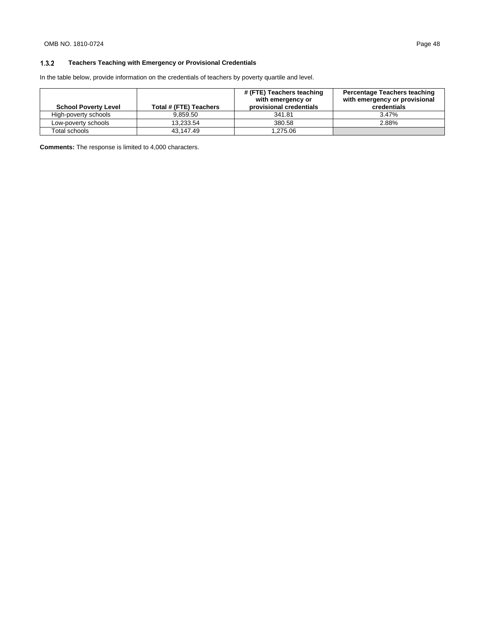#### $1.3.2$ **Teachers Teaching with Emergency or Provisional Credentials**

In the table below, provide information on the credentials of teachers by poverty quartile and level.

| <b>School Poverty Level</b> | Total # (FTE) Teachers | # (FTE) Teachers teaching<br>with emergency or<br>provisional credentials | <b>Percentage Teachers teaching</b><br>with emergency or provisional<br>credentials |
|-----------------------------|------------------------|---------------------------------------------------------------------------|-------------------------------------------------------------------------------------|
| High-poverty schools        | 9.859.50               | 341.81                                                                    | 3.47%                                                                               |
| Low-poverty schools         | 13.233.54              | 380.58                                                                    | 2.88%                                                                               |
| Total schools               | 43.147.49              | 1.275.06                                                                  |                                                                                     |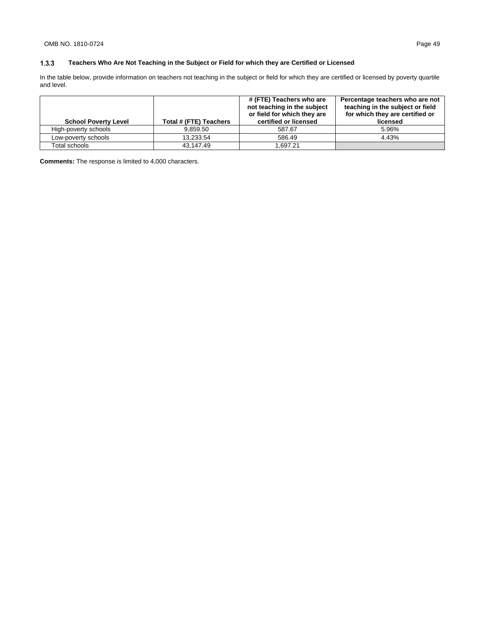#### $1.3.3$ **Teachers Who Are Not Teaching in the Subject or Field for which they are Certified or Licensed**

In the table below, provide information on teachers not teaching in the subject or field for which they are certified or licensed by poverty quartile and level.

| <b>School Poverty Level</b> | Total # (FTE) Teachers | # (FTE) Teachers who are<br>not teaching in the subject<br>or field for which they are<br>certified or licensed | Percentage teachers who are not<br>teaching in the subject or field<br>for which they are certified or<br>licensed |
|-----------------------------|------------------------|-----------------------------------------------------------------------------------------------------------------|--------------------------------------------------------------------------------------------------------------------|
| High-poverty schools        | 9.859.50               | 587.67                                                                                                          | 5.96%                                                                                                              |
| Low-poverty schools         | 13.233.54              | 586.49                                                                                                          | 4.43%                                                                                                              |
| Total schools               | 43.147.49              | 1.697.21                                                                                                        |                                                                                                                    |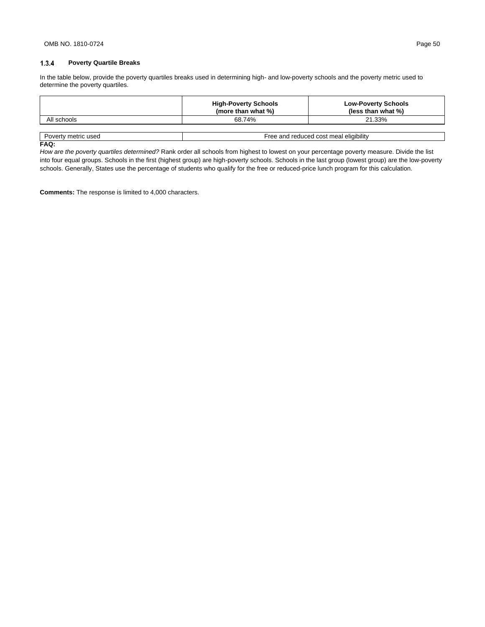#### $1.3.4$ **Poverty Quartile Breaks**

In the table below, provide the poverty quartiles breaks used in determining high- and low-poverty schools and the poverty metric used to determine the poverty quartiles.

|                     | <b>High-Poverty Schools</b><br>(more than what %) | <b>Low-Poverty Schools</b><br>(less than what %) |
|---------------------|---------------------------------------------------|--------------------------------------------------|
| All schools         | 68.74%                                            | 21.33%                                           |
|                     |                                                   |                                                  |
| Poverty metric used | Free and reduced cost meal eligibility            |                                                  |

#### **FAQ:**

*How are the poverty quartiles determined?* Rank order all schools from highest to lowest on your percentage poverty measure. Divide the list into four equal groups. Schools in the first (highest group) are high-poverty schools. Schools in the last group (lowest group) are the low-poverty schools. Generally, States use the percentage of students who qualify for the free or reduced-price lunch program for this calculation.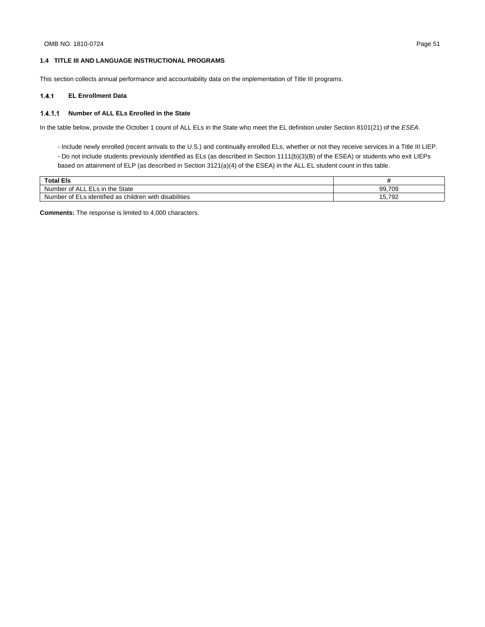### **1.4 TITLE III AND LANGUAGE INSTRUCTIONAL PROGRAMS**

This section collects annual performance and accountability data on the implementation of Title III programs.

#### **EL Enrollment Data**  $1.4.1$

### **Number of ALL ELs Enrolled in the State**

In the table below, provide the October 1 count of ALL ELs in the State who meet the EL definition under Section 8101(21) of the *ESEA*.

- Include newly enrolled (recent arrivals to the U.S.) and continually enrolled ELs, whether or not they receive services in a Title III LIEP.
- Do not include students previously identified as ELs (as described in Section 1111(b)(3)(B) of the ESEA) or students who exit LIEPs based on attainment of ELP (as described in Section 3121(a)(4) of the ESEA) in the ALL EL student count in this table.

| <b>Total Els</b>                                                        |                 |
|-------------------------------------------------------------------------|-----------------|
| <b>State</b><br>the<br>⊹ELS IN<br>Number of<br>`ALL :                   | 99.709          |
| disabilities<br>Ls identified as<br>with<br>, children.<br>Number of EL | 792<br>-<br>IG. |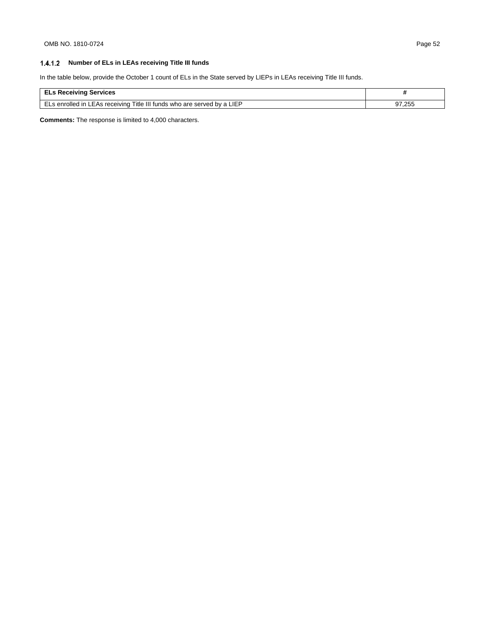## **Number of ELs in LEAs receiving Title III funds**

In the table below, provide the October 1 count of ELs in the State served by LIEPs in LEAs receiving Title III funds.

| <b>ELs Receiving Services</b>                                           |        |
|-------------------------------------------------------------------------|--------|
| ELs enrolled in LEAs receiving Title III funds who are served by a LIEP | 97.255 |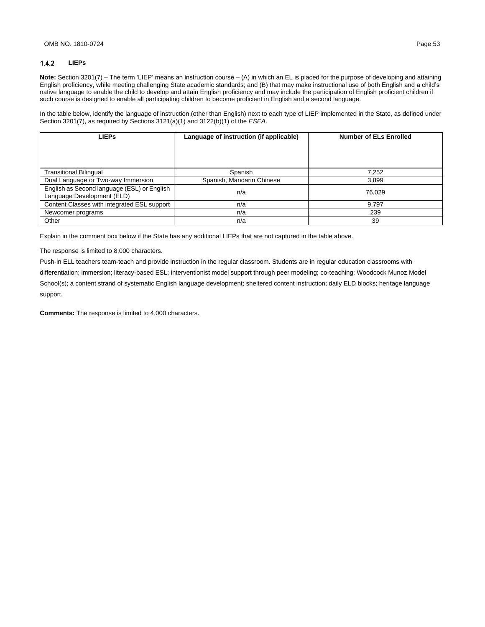#### $1.4.2$ **LIEPs**

**Note:** Section 3201(7) – The term 'LIEP' means an instruction course – (A) in which an EL is placed for the purpose of developing and attaining English proficiency, while meeting challenging State academic standards; and (B) that may make instructional use of both English and a child's native language to enable the child to develop and attain English proficiency and may include the participation of English proficient children if such course is designed to enable all participating children to become proficient in English and a second language.

In the table below, identify the language of instruction (other than English) next to each type of LIEP implemented in the State, as defined under Section 3201(7), as required by Sections 3121(a)(1) and 3122(b)(1) of the *ESEA*.

| <b>LIEPs</b>                                                              | Language of instruction (if applicable) | <b>Number of ELs Enrolled</b> |
|---------------------------------------------------------------------------|-----------------------------------------|-------------------------------|
|                                                                           |                                         |                               |
|                                                                           |                                         |                               |
| <b>Transitional Bilingual</b>                                             | Spanish                                 | 7.252                         |
| Dual Language or Two-way Immersion                                        | Spanish, Mandarin Chinese               | 3.899                         |
| English as Second language (ESL) or English<br>Language Development (ELD) | n/a                                     | 76.029                        |
| Content Classes with integrated ESL support                               | n/a                                     | 9.797                         |
| Newcomer programs                                                         | n/a                                     | 239                           |
| Other                                                                     | n/a                                     | 39                            |

Explain in the comment box below if the State has any additional LIEPs that are not captured in the table above.

The response is limited to 8,000 characters.

Push-in ELL teachers team-teach and provide instruction in the regular classroom. Students are in regular education classrooms with

differentiation; immersion; literacy-based ESL; interventionist model support through peer modeling; co-teaching; Woodcock Munoz Model School(s); a content strand of systematic English language development; sheltered content instruction; daily ELD blocks; heritage language support.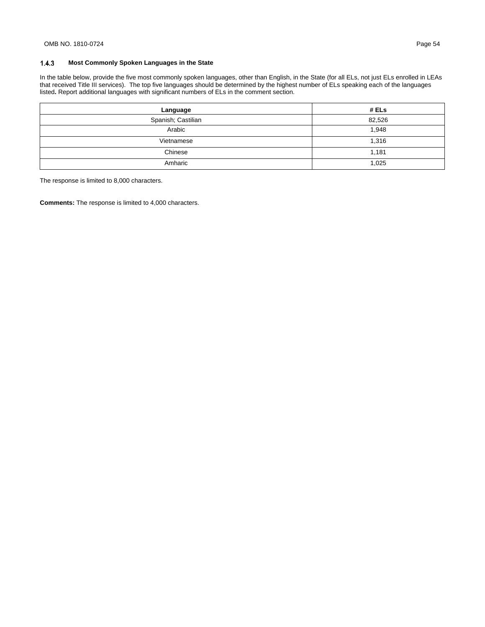#### $1.4.3$ **Most Commonly Spoken Languages in the State**

In the table below, provide the five most commonly spoken languages, other than English, in the State (for all ELs, not just ELs enrolled in LEAs that received Title III services). The top five languages should be determined by the highest number of ELs speaking each of the languages listed**.** Report additional languages with significant numbers of ELs in the comment section.

| Language           | # ELs  |
|--------------------|--------|
| Spanish; Castilian | 82,526 |
| Arabic             | 1,948  |
| Vietnamese         | 1,316  |
| Chinese            | 1,181  |
| Amharic            | 1,025  |

The response is limited to 8,000 characters.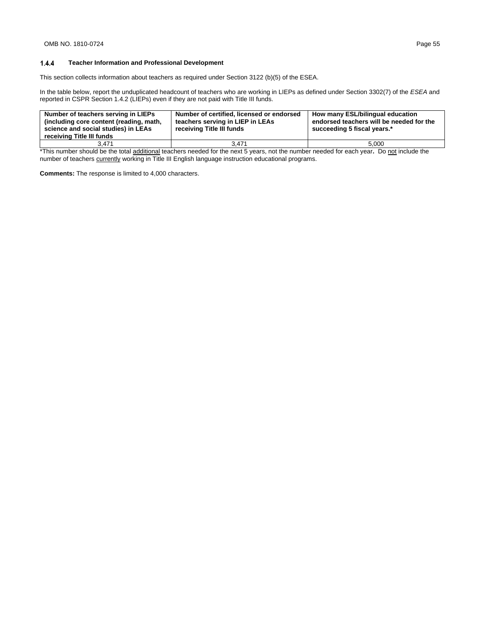#### 1.4.4 **Teacher Information and Professional Development**

This section collects information about teachers as required under Section 3122 (b)(5) of the ESEA.

In the table below, report the unduplicated headcount of teachers who are working in LIEPs as defined under Section 3302(7) of the *ESEA* and reported in CSPR Section 1.4.2 (LIEPs) even if they are not paid with Title III funds.

| Number of teachers serving in LIEPs<br>(including core content (reading, math,<br>science and social studies) in LEAs<br>receiving Title III funds | Number of certified, licensed or endorsed<br>teachers serving in LIEP in LEAs<br>receiving Title III funds | How many ESL/bilingual education<br>endorsed teachers will be needed for the<br>succeeding 5 fiscal years.* |
|----------------------------------------------------------------------------------------------------------------------------------------------------|------------------------------------------------------------------------------------------------------------|-------------------------------------------------------------------------------------------------------------|
| 3.471                                                                                                                                              | 3.471                                                                                                      | 5.000                                                                                                       |

\*This number should be the total additional teachers needed for the next 5 years, not the number needed for each year**.** Do not include the number of teachers currently working in Title III English language instruction educational programs.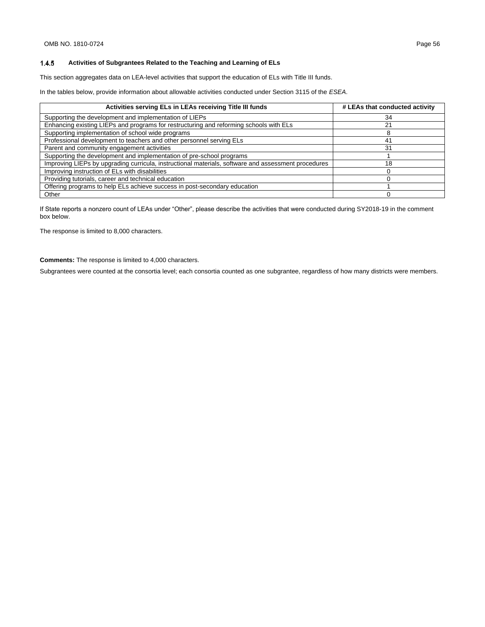#### 1.4.5 **Activities of Subgrantees Related to the Teaching and Learning of ELs**

This section aggregates data on LEA-level activities that support the education of ELs with Title III funds.

In the tables below, provide information about allowable activities conducted under Section 3115 of the *ESEA*.

| Activities serving ELs in LEAs receiving Title III funds                                            | # LEAs that conducted activity |
|-----------------------------------------------------------------------------------------------------|--------------------------------|
| Supporting the development and implementation of LIEPs                                              | 34                             |
| Enhancing existing LIEPs and programs for restructuring and reforming schools with ELs              | 21                             |
| Supporting implementation of school wide programs                                                   |                                |
| Professional development to teachers and other personnel serving ELs                                | 41                             |
| Parent and community engagement activities                                                          | 31                             |
| Supporting the development and implementation of pre-school programs                                |                                |
| Improving LIEPs by upgrading curricula, instructional materials, software and assessment procedures | 18                             |
| Improving instruction of ELs with disabilities                                                      |                                |
| Providing tutorials, career and technical education                                                 |                                |
| Offering programs to help ELs achieve success in post-secondary education                           |                                |
| Other                                                                                               |                                |

If State reports a nonzero count of LEAs under "Other", please describe the activities that were conducted during SY2018-19 in the comment box below.

The response is limited to 8,000 characters.

**Comments:** The response is limited to 4,000 characters.

Subgrantees were counted at the consortia level; each consortia counted as one subgrantee, regardless of how many districts were members.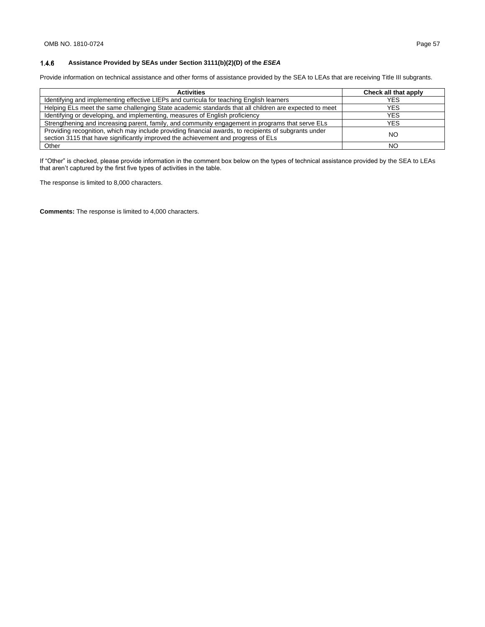#### $1.4.6$ **Assistance Provided by SEAs under Section 3111(b)(2)(D) of the** *ESEA*

Provide information on technical assistance and other forms of assistance provided by the SEA to LEAs that are receiving Title III subgrants.

| <b>Activities</b>                                                                                                                                                                          | Check all that apply |
|--------------------------------------------------------------------------------------------------------------------------------------------------------------------------------------------|----------------------|
| Identifying and implementing effective LIEPs and curricula for teaching English learners                                                                                                   | YES                  |
| Helping ELs meet the same challenging State academic standards that all children are expected to meet                                                                                      | YES                  |
| Identifying or developing, and implementing, measures of English proficiency                                                                                                               | <b>YES</b>           |
| Strengthening and increasing parent, family, and community engagement in programs that serve ELs                                                                                           | YES                  |
| Providing recognition, which may include providing financial awards, to recipients of subgrants under<br>section 3115 that have significantly improved the achievement and progress of ELs | NO.                  |
| Other                                                                                                                                                                                      | NO.                  |

If "Other" is checked, please provide information in the comment box below on the types of technical assistance provided by the SEA to LEAs that aren't captured by the first five types of activities in the table.

The response is limited to 8,000 characters.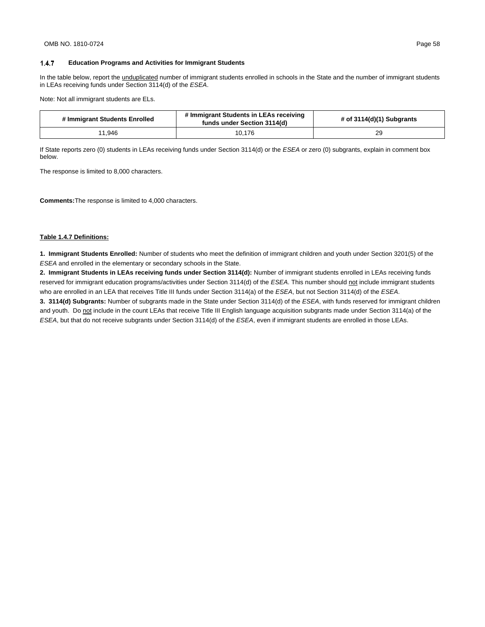$1.4.7$ 

In the table below, report the unduplicated number of immigrant students enrolled in schools in the State and the number of immigrant students in LEAs receiving funds under Section 3114(d) of the *ESEA*.

Note: Not all immigrant students are ELs.

| # Immigrant Students Enrolled | # Immigrant Students in LEAs receiving<br>funds under Section 3114(d) | # of $3114(d)(1)$ Subgrants |
|-------------------------------|-----------------------------------------------------------------------|-----------------------------|
| 11.946                        | 10,176                                                                | 29                          |

If State reports zero (0) students in LEAs receiving funds under Section 3114(d) or the *ESEA* or zero (0) subgrants, explain in comment box below.

The response is limited to 8,000 characters.

**Comments:**The response is limited to 4,000 characters.

#### **Table 1.4.7 Definitions:**

**1. Immigrant Students Enrolled:** Number of students who meet the definition of immigrant children and youth under Section 3201(5) of the *ESEA* and enrolled in the elementary or secondary schools in the State.

**2. Immigrant Students in LEAs receiving funds under Section 3114(d):** Number of immigrant students enrolled in LEAs receiving funds reserved for immigrant education programs/activities under Section 3114(d) of the *ESEA*. This number should not include immigrant students who are enrolled in an LEA that receives Title III funds under Section 3114(a) of the *ESEA*, but not Section 3114(d) of the *ESEA*.

**3. 3114(d) Subgrants:** Number of subgrants made in the State under Section 3114(d) of the *ESEA*, with funds reserved for immigrant children and youth. Do not include in the count LEAs that receive Title III English language acquisition subgrants made under Section 3114(a) of the *ESEA*, but that do not receive subgrants under Section 3114(d) of the *ESEA*, even if immigrant students are enrolled in those LEAs.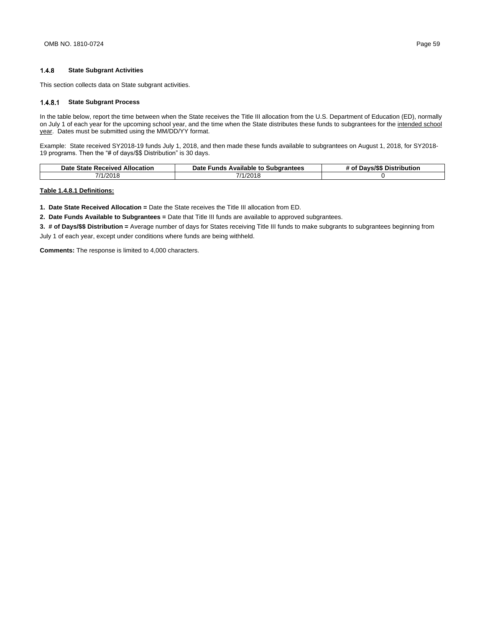#### $1.4.8$ **State Subgrant Activities**

This section collects data on State subgrant activities.

### **State Subgrant Process**

In the table below, report the time between when the State receives the Title III allocation from the U.S. Department of Education (ED), normally on July 1 of each year for the upcoming school year, and the time when the State distributes these funds to subgrantees for the intended school year. Dates must be submitted using the MM/DD/YY format.

Example: State received SY2018-19 funds July 1, 2018, and then made these funds available to subgrantees on August 1, 2018, for SY2018- 19 programs. Then the "# of days/\$\$ Distribution" is 30 days.

| Date State Received Allocation | Date Funds<br>s Available to Subgrantees | # of Davs/\$\$ Distribution |
|--------------------------------|------------------------------------------|-----------------------------|
| 7/1/2018                       | 7/1/2018                                 |                             |

## **Table 1.4.8.1 Definitions:**

**1. Date State Received Allocation =** Date the State receives the Title III allocation from ED.

**2. Date Funds Available to Subgrantees =** Date that Title III funds are available to approved subgrantees.

**3. # of Days/\$\$ Distribution =** Average number of days for States receiving Title III funds to make subgrants to subgrantees beginning from July 1 of each year, except under conditions where funds are being withheld.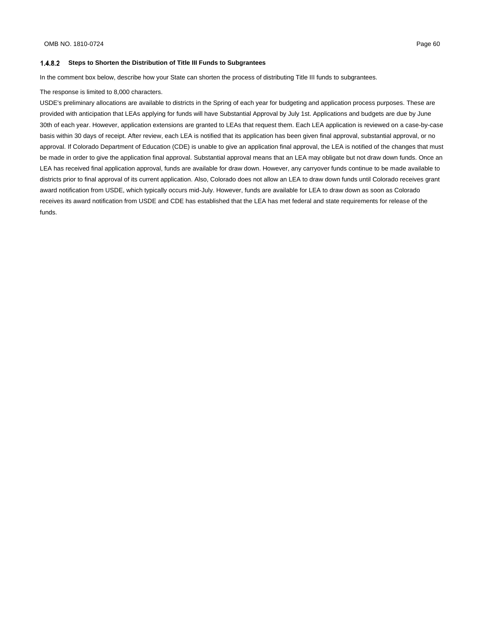### **Steps to Shorten the Distribution of Title III Funds to Subgrantees**

In the comment box below, describe how your State can shorten the process of distributing Title III funds to subgrantees.

### The response is limited to 8,000 characters.

USDE's preliminary allocations are available to districts in the Spring of each year for budgeting and application process purposes. These are provided with anticipation that LEAs applying for funds will have Substantial Approval by July 1st. Applications and budgets are due by June 30th of each year. However, application extensions are granted to LEAs that request them. Each LEA application is reviewed on a case-by-case basis within 30 days of receipt. After review, each LEA is notified that its application has been given final approval, substantial approval, or no approval. If Colorado Department of Education (CDE) is unable to give an application final approval, the LEA is notified of the changes that must be made in order to give the application final approval. Substantial approval means that an LEA may obligate but not draw down funds. Once an LEA has received final application approval, funds are available for draw down. However, any carryover funds continue to be made available to districts prior to final approval of its current application. Also, Colorado does not allow an LEA to draw down funds until Colorado receives grant award notification from USDE, which typically occurs mid-July. However, funds are available for LEA to draw down as soon as Colorado receives its award notification from USDE and CDE has established that the LEA has met federal and state requirements for release of the funds.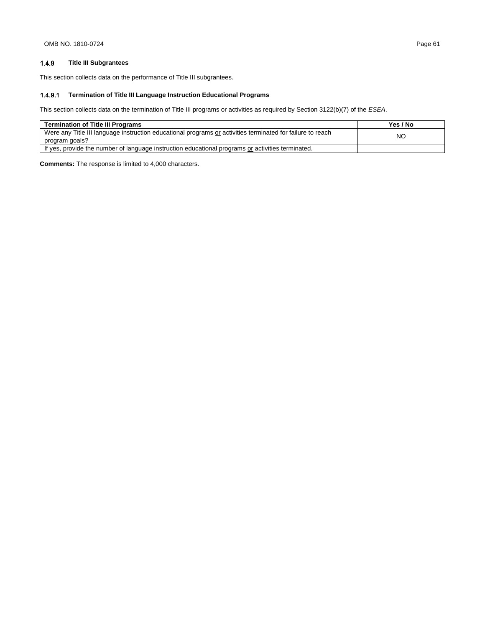#### $1.4.9$ **Title III Subgrantees**

This section collects data on the performance of Title III subgrantees.

## **Termination of Title III Language Instruction Educational Programs**

This section collects data on the termination of Title III programs or activities as required by Section 3122(b)(7) of the *ESEA*.

| <b>Termination of Title III Programs</b>                                                                                     | Yes / No |
|------------------------------------------------------------------------------------------------------------------------------|----------|
| Were any Title III language instruction educational programs or activities terminated for failure to reach<br>program goals? | NO       |
| If yes, provide the number of language instruction educational programs or activities terminated.                            |          |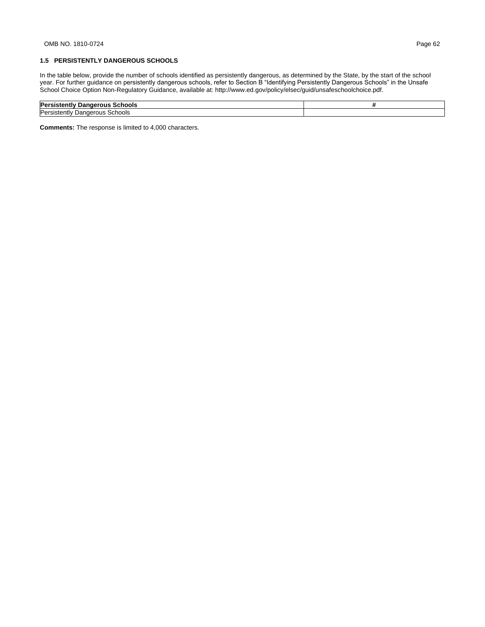In the table below, provide the number of schools identified as persistently dangerous, as determined by the State, by the start of the school year. For further guidance on persistently dangerous schools, refer to Section B "Identifying Persistently Dangerous Schools" in the Unsafe School Choice Option Non-Regulatory Guidance, available at: http://www.ed.gov/policy/elsec/guid/unsafeschoolchoice.pdf.

| Рe<br>earous<br>Schools<br>…diiu™<br>                                      |  |
|----------------------------------------------------------------------------|--|
| $'ab\sim b$<br>۳⊿⊶<br>nae<br>.stentiv<br>צוטטר<br>Jar<br>. )     }<br>וגור |  |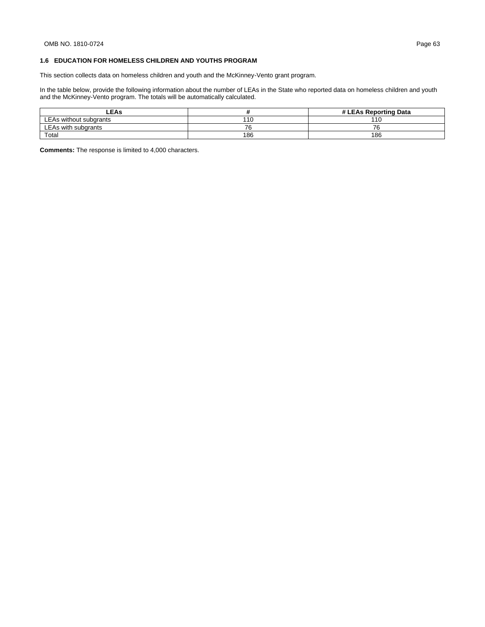## **1.6 EDUCATION FOR HOMELESS CHILDREN AND YOUTHS PROGRAM**

This section collects data on homeless children and youth and the McKinney-Vento grant program.

In the table below, provide the following information about the number of LEAs in the State who reported data on homeless children and youth and the McKinney-Vento program. The totals will be automatically calculated.

| <b>LEAs</b>            |            | # LEAs Reporting Data |
|------------------------|------------|-----------------------|
| LEAs without subgrants | 110<br>. . | 11 <sup>c</sup>       |
| LEAs with subgrants    | →∼         | 76                    |
| Total                  | 186        | 186                   |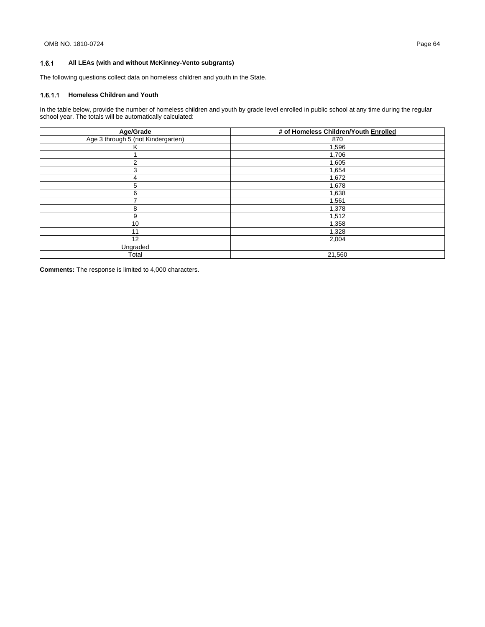#### $1.6.1$ **All LEAs (with and without McKinney-Vento subgrants)**

The following questions collect data on homeless children and youth in the State.

## **Homeless Children and Youth**

In the table below, provide the number of homeless children and youth by grade level enrolled in public school at any time during the regular school year. The totals will be automatically calculated:

| Age/Grade                          | # of Homeless Children/Youth Enrolled |
|------------------------------------|---------------------------------------|
| Age 3 through 5 (not Kindergarten) | 870                                   |
| ĸ                                  | 1,596                                 |
|                                    | 1,706                                 |
| 2                                  | 1,605                                 |
| 3                                  | 1,654                                 |
| 4                                  | 1,672                                 |
| 5                                  | 1,678                                 |
| 6                                  | 1,638                                 |
|                                    | 1,561                                 |
| 8                                  | 1,378                                 |
| 9                                  | 1,512                                 |
| 10                                 | 1,358                                 |
| 11                                 | 1,328                                 |
| 12                                 | 2,004                                 |
| Ungraded                           |                                       |
| Total                              | 21,560                                |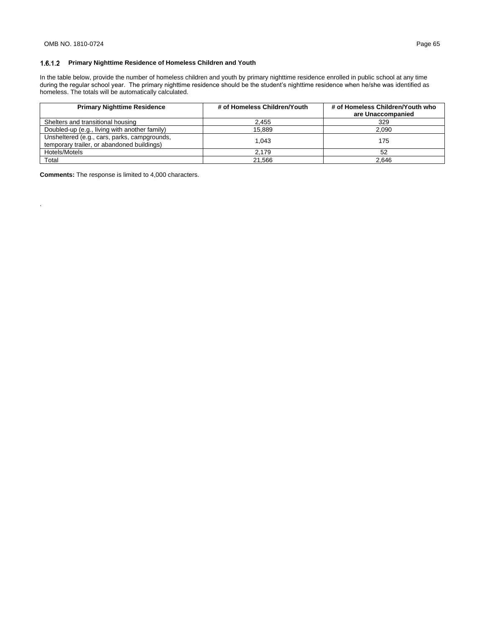.

## **Primary Nighttime Residence of Homeless Children and Youth**

In the table below, provide the number of homeless children and youth by primary nighttime residence enrolled in public school at any time during the regular school year. The primary nighttime residence should be the student's nighttime residence when he/she was identified as homeless. The totals will be automatically calculated.

| <b>Primary Nighttime Residence</b>                                                         | # of Homeless Children/Youth | # of Homeless Children/Youth who<br>are Unaccompanied |
|--------------------------------------------------------------------------------------------|------------------------------|-------------------------------------------------------|
| Shelters and transitional housing                                                          | 2,455                        | 329                                                   |
| Doubled-up (e.g., living with another family)                                              | 15.889                       | 2.090                                                 |
| Unsheltered (e.g., cars, parks, campgrounds,<br>temporary trailer, or abandoned buildings) | 1.043                        | 175                                                   |
| Hotels/Motels                                                                              | 2.179                        | 52                                                    |
| Total                                                                                      | 21.566                       | 2.646                                                 |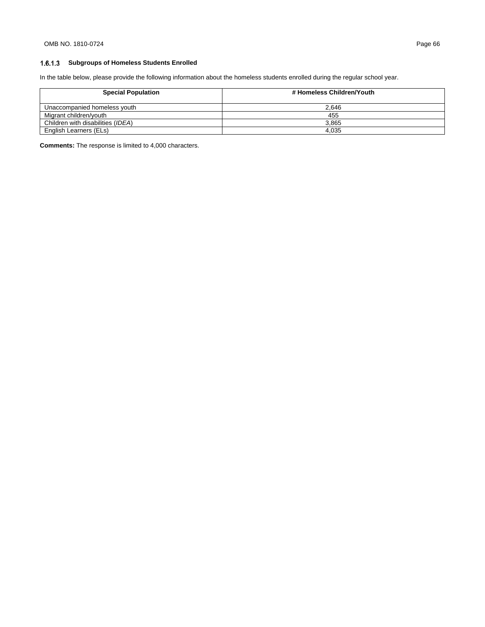## **Subgroups of Homeless Students Enrolled**

In the table below, please provide the following information about the homeless students enrolled during the regular school year.

| <b>Special Population</b>         | # Homeless Children/Youth |
|-----------------------------------|---------------------------|
| Unaccompanied homeless youth      | 2.646                     |
| Migrant children/vouth            | 455                       |
| Children with disabilities (IDEA) | 3.865                     |
| English Learners (ELs)            | 4.035                     |